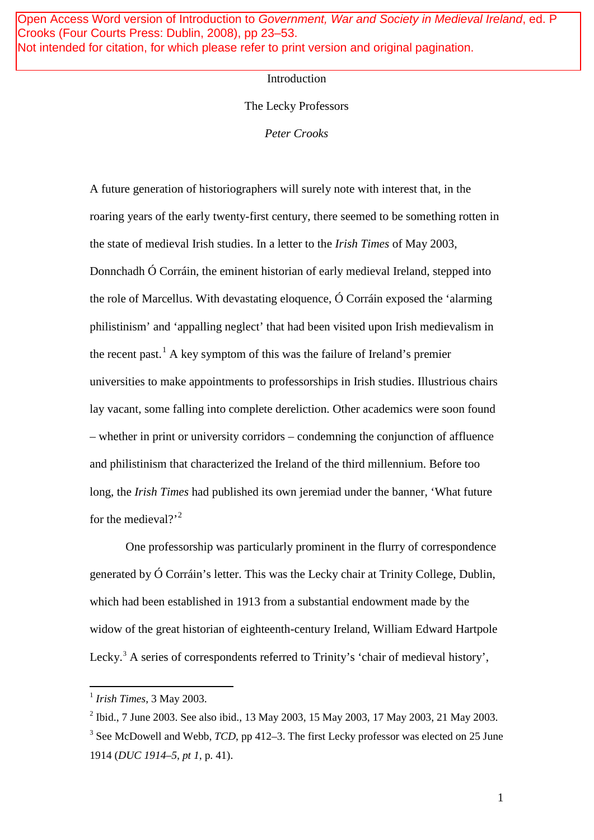Open Access Word version of Introduction to Government, War and Society in Medieval Ireland, ed. P Crooks (Four Courts Press: Dublin, 2008), pp 23–53. Not intended for citation, for which please refer to print version and original pagination.

## Introduction

## The Lecky Professors

*Peter Crooks*

A future generation of historiographers will surely note with interest that, in the roaring years of the early twenty-first century, there seemed to be something rotten in the state of medieval Irish studies. In a letter to the *Irish Times* of May 2003, Donnchadh Ó Corráin, the eminent historian of early medieval Ireland, stepped into the role of Marcellus. With devastating eloquence, Ó Corráin exposed the 'alarming philistinism' and 'appalling neglect' that had been visited upon Irish medievalism in the recent past.<sup>[1](#page-0-0)</sup> A key symptom of this was the failure of Ireland's premier universities to make appointments to professorships in Irish studies. Illustrious chairs lay vacant, some falling into complete dereliction. Other academics were soon found – whether in print or university corridors – condemning the conjunction of affluence and philistinism that characterized the Ireland of the third millennium. Before too long, the *Irish Times* had published its own jeremiad under the banner, 'What future for the medieval? $^{2}$  $^{2}$  $^{2}$ 

One professorship was particularly prominent in the flurry of correspondence generated by Ó Corráin's letter. This was the Lecky chair at Trinity College, Dublin, which had been established in 1913 from a substantial endowment made by the widow of the great historian of eighteenth-century Ireland, William Edward Hartpole Lecky.<sup>[3](#page-0-2)</sup> A series of correspondents referred to Trinity's 'chair of medieval history',

1

<span id="page-0-0"></span> <sup>1</sup> *Irish Times*, 3 May 2003.

<span id="page-0-1"></span><sup>2</sup> Ibid., 7 June 2003. See also ibid., 13 May 2003, 15 May 2003, 17 May 2003, 21 May 2003.

<span id="page-0-2"></span><sup>&</sup>lt;sup>3</sup> See McDowell and Webb, *TCD*, pp 412–3. The first Lecky professor was elected on 25 June 1914 (*DUC 1914–5, pt 1*, p. 41).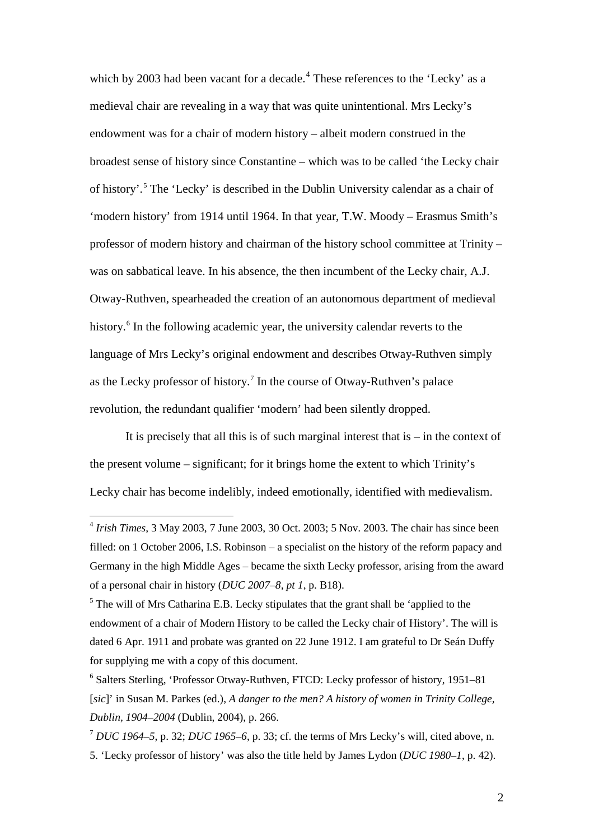which by 2003 had been vacant for a decade.<sup>[4](#page-1-0)</sup> These references to the 'Lecky' as a medieval chair are revealing in a way that was quite unintentional. Mrs Lecky's endowment was for a chair of modern history – albeit modern construed in the broadest sense of history since Constantine – which was to be called 'the Lecky chair of history'. [5](#page-1-1) The 'Lecky' is described in the Dublin University calendar as a chair of 'modern history' from 1914 until 1964. In that year, T.W. Moody – Erasmus Smith's professor of modern history and chairman of the history school committee at Trinity – was on sabbatical leave. In his absence, the then incumbent of the Lecky chair, A.J. Otway-Ruthven, spearheaded the creation of an autonomous department of medieval history.<sup>[6](#page-1-2)</sup> In the following academic year, the university calendar reverts to the language of Mrs Lecky's original endowment and describes Otway-Ruthven simply as the Lecky professor of history.[7](#page-1-3) In the course of Otway-Ruthven's palace revolution, the redundant qualifier 'modern' had been silently dropped.

It is precisely that all this is of such marginal interest that  $is - in$  the context of the present volume – significant; for it brings home the extent to which Trinity's Lecky chair has become indelibly, indeed emotionally, identified with medievalism.

<span id="page-1-0"></span> <sup>4</sup> *Irish Times*, 3 May 2003, 7 June 2003, 30 Oct. 2003; 5 Nov. 2003. The chair has since been filled: on 1 October 2006, I.S. Robinson – a specialist on the history of the reform papacy and Germany in the high Middle Ages – became the sixth Lecky professor, arising from the award of a personal chair in history (*DUC 2007–8, pt 1*, p. B18).

<span id="page-1-1"></span> $<sup>5</sup>$  The will of Mrs Catharina E.B. Lecky stipulates that the grant shall be 'applied to the</sup> endowment of a chair of Modern History to be called the Lecky chair of History'. The will is dated 6 Apr. 1911 and probate was granted on 22 June 1912. I am grateful to Dr Seán Duffy for supplying me with a copy of this document.

<span id="page-1-2"></span><sup>6</sup> Salters Sterling, 'Professor Otway-Ruthven, FTCD: Lecky professor of history, 1951–81 [*sic*]' in Susan M. Parkes (ed.), *A danger to the men? A history of women in Trinity College, Dublin, 1904–2004* (Dublin, 2004), p. 266.

<span id="page-1-3"></span><sup>7</sup> *DUC 1964–5*, p. 32; *DUC 1965–6*, p. 33; cf. the terms of Mrs Lecky's will, cited above, n. 5. 'Lecky professor of history' was also the title held by James Lydon (*DUC 1980–1*, p. 42).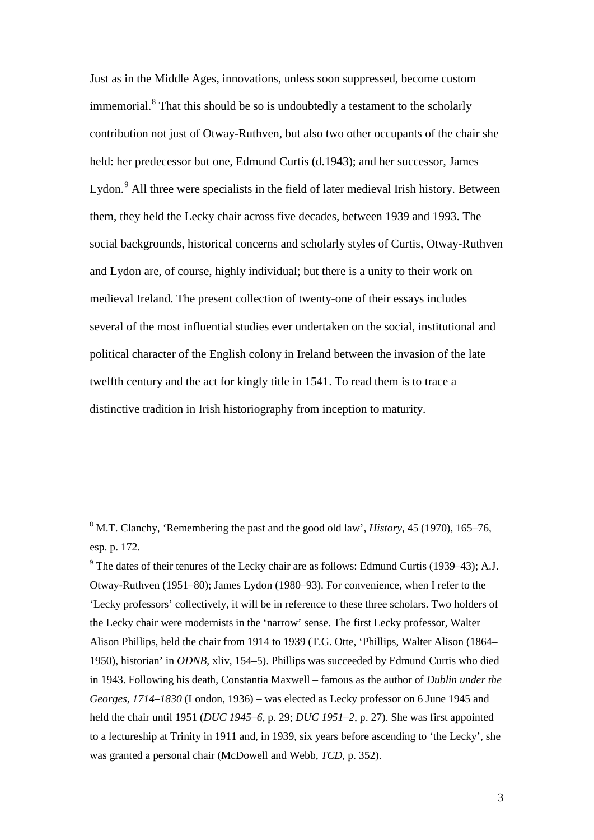Just as in the Middle Ages, innovations, unless soon suppressed, become custom immemorial.<sup>[8](#page-2-0)</sup> That this should be so is undoubtedly a testament to the scholarly contribution not just of Otway-Ruthven, but also two other occupants of the chair she held: her predecessor but one, Edmund Curtis (d.1943); and her successor, James Lydon.<sup>[9](#page-2-1)</sup> All three were specialists in the field of later medieval Irish history. Between them, they held the Lecky chair across five decades, between 1939 and 1993. The social backgrounds, historical concerns and scholarly styles of Curtis, Otway-Ruthven and Lydon are, of course, highly individual; but there is a unity to their work on medieval Ireland. The present collection of twenty-one of their essays includes several of the most influential studies ever undertaken on the social, institutional and political character of the English colony in Ireland between the invasion of the late twelfth century and the act for kingly title in 1541. To read them is to trace a distinctive tradition in Irish historiography from inception to maturity.

<span id="page-2-0"></span> <sup>8</sup> M.T. Clanchy, 'Remembering the past and the good old law', *History*, 45 (1970), 165–76, esp. p. 172.

<span id="page-2-1"></span> $9$ <sup>9</sup> The dates of their tenures of the Lecky chair are as follows: Edmund Curtis (1939–43); A.J. Otway-Ruthven (1951–80); James Lydon (1980–93). For convenience, when I refer to the 'Lecky professors' collectively, it will be in reference to these three scholars. Two holders of the Lecky chair were modernists in the 'narrow' sense. The first Lecky professor, Walter Alison Phillips, held the chair from 1914 to 1939 (T.G. Otte, 'Phillips, Walter Alison (1864– 1950), historian' in *ODNB*, xliv, 154–5). Phillips was succeeded by Edmund Curtis who died in 1943. Following his death, Constantia Maxwell – famous as the author of *Dublin under the Georges, 1714–1830* (London, 1936) – was elected as Lecky professor on 6 June 1945 and held the chair until 1951 (*DUC 1945–6*, p. 29; *DUC 1951–2*, p. 27). She was first appointed to a lectureship at Trinity in 1911 and, in 1939, six years before ascending to 'the Lecky', she was granted a personal chair (McDowell and Webb, *TCD*, p. 352).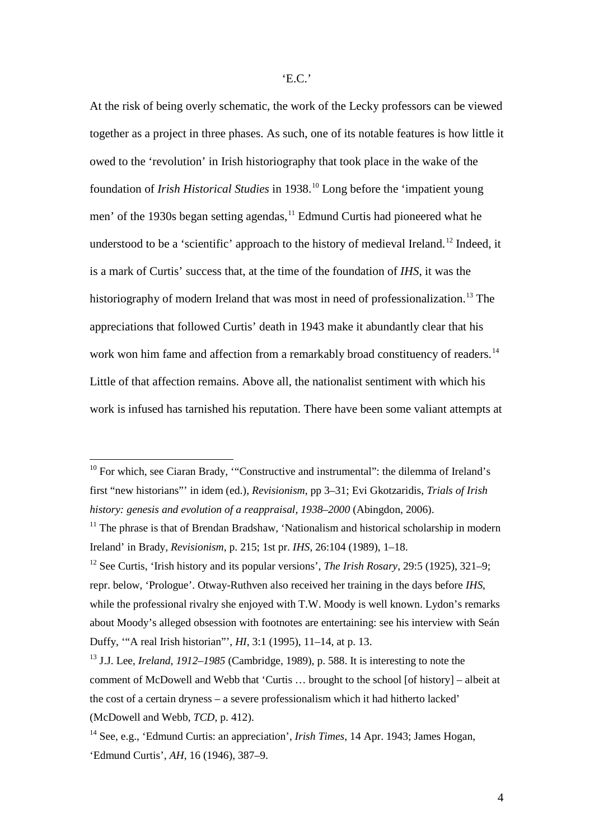At the risk of being overly schematic, the work of the Lecky professors can be viewed together as a project in three phases. As such, one of its notable features is how little it owed to the 'revolution' in Irish historiography that took place in the wake of the foundation of *Irish Historical Studies* in 1938.[10](#page-3-0) Long before the 'impatient young men' of the 1930s began setting agendas,<sup>[11](#page-3-1)</sup> Edmund Curtis had pioneered what he understood to be a 'scientific' approach to the history of medieval Ireland.<sup>[12](#page-3-2)</sup> Indeed, it is a mark of Curtis' success that, at the time of the foundation of *IHS*, it was the historiography of modern Ireland that was most in need of professionalization.<sup>[13](#page-3-3)</sup> The appreciations that followed Curtis' death in 1943 make it abundantly clear that his work won him fame and affection from a remarkably broad constituency of readers.<sup>[14](#page-3-4)</sup> Little of that affection remains. Above all, the nationalist sentiment with which his work is infused has tarnished his reputation. There have been some valiant attempts at

<span id="page-3-0"></span> $10$  For which, see Ciaran Brady, "Constructive and instrumental": the dilemma of Ireland's first "new historians"' in idem (ed.), *Revisionism*, pp 3–31; Evi Gkotzaridis, *Trials of Irish history: genesis and evolution of a reappraisal, 1938–2000* (Abingdon, 2006).

<span id="page-3-1"></span> $11$  The phrase is that of Brendan Bradshaw, 'Nationalism and historical scholarship in modern Ireland' in Brady, *Revisionism*, p. 215; 1st pr. *IHS*, 26:104 (1989), 1–18.

<span id="page-3-2"></span><sup>12</sup> See Curtis, 'Irish history and its popular versions', *The Irish Rosary*, 29:5 (1925), 321–9; repr. below, 'Prologue'. Otway-Ruthven also received her training in the days before *IHS*, while the professional rivalry she enjoyed with T.W. Moody is well known. Lydon's remarks about Moody's alleged obsession with footnotes are entertaining: see his interview with Seán Duffy, '"A real Irish historian"', *HI*, 3:1 (1995), 11–14, at p. 13.

<span id="page-3-3"></span><sup>13</sup> J.J. Lee, *Ireland, 1912–1985* (Cambridge, 1989), p. 588. It is interesting to note the comment of McDowell and Webb that 'Curtis … brought to the school [of history] – albeit at the cost of a certain dryness – a severe professionalism which it had hitherto lacked' (McDowell and Webb, *TCD*, p. 412).

<span id="page-3-4"></span><sup>14</sup> See, e.g., 'Edmund Curtis: an appreciation', *Irish Times*, 14 Apr. 1943; James Hogan, 'Edmund Curtis', *AH*, 16 (1946), 387–9.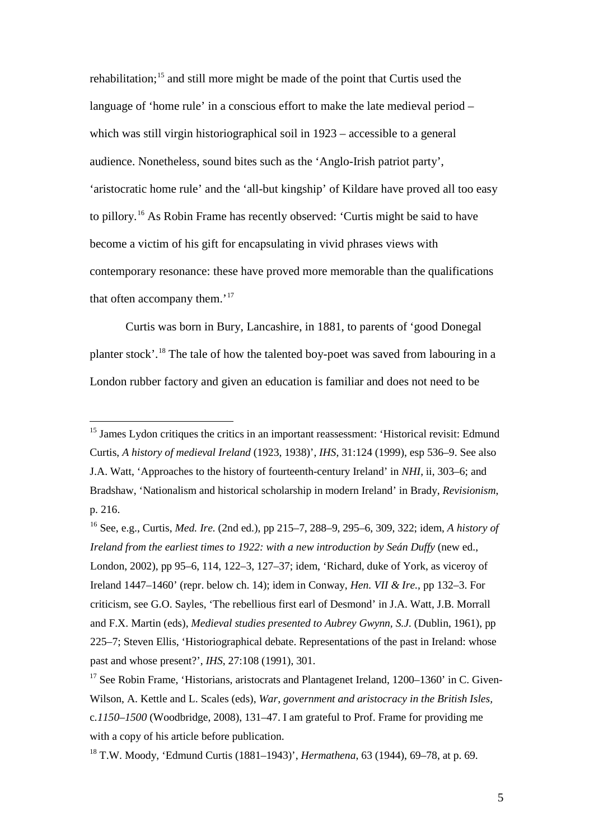rehabilitation;<sup>[15](#page-4-0)</sup> and still more might be made of the point that Curtis used the language of 'home rule' in a conscious effort to make the late medieval period – which was still virgin historiographical soil in 1923 – accessible to a general audience. Nonetheless, sound bites such as the 'Anglo-Irish patriot party', 'aristocratic home rule' and the 'all-but kingship' of Kildare have proved all too easy to pillory. [16](#page-4-1) As Robin Frame has recently observed: 'Curtis might be said to have become a victim of his gift for encapsulating in vivid phrases views with contemporary resonance: these have proved more memorable than the qualifications that often accompany them.'<sup>[17](#page-4-2)</sup>

Curtis was born in Bury, Lancashire, in 1881, to parents of 'good Donegal planter stock'.<sup>[18](#page-4-3)</sup> The tale of how the talented boy-poet was saved from labouring in a London rubber factory and given an education is familiar and does not need to be

<span id="page-4-0"></span><sup>&</sup>lt;sup>15</sup> James Lydon critiques the critics in an important reassessment: 'Historical revisit: Edmund Curtis, *A history of medieval Ireland* (1923, 1938)', *IHS*, 31:124 (1999), esp 536–9. See also J.A. Watt, 'Approaches to the history of fourteenth-century Ireland' in *NHI*, ii, 303–6; and Bradshaw, 'Nationalism and historical scholarship in modern Ireland' in Brady, *Revisionism*, p. 216.

<span id="page-4-1"></span><sup>16</sup> See, e.g., Curtis, *Med. Ire.* (2nd ed.), pp 215–7, 288–9, 295–6, 309, 322; idem, *A history of Ireland from the earliest times to 1922: with a new introduction by Seán Duffy* (new ed., London, 2002), pp 95–6, 114, 122–3, 127–37; idem, 'Richard, duke of York, as viceroy of Ireland 1447–1460' (repr. below ch. 14); idem in Conway, *Hen. VII & Ire.,* pp 132–3. For criticism, see G.O. Sayles, 'The rebellious first earl of Desmond' in J.A. Watt, J.B. Morrall and F.X. Martin (eds), *Medieval studies presented to Aubrey Gwynn, S.J.* (Dublin, 1961), pp 225–7; Steven Ellis, 'Historiographical debate. Representations of the past in Ireland: whose past and whose present?', *IHS*, 27:108 (1991), 301.

<span id="page-4-2"></span> $17$  See Robin Frame, 'Historians, aristocrats and Plantagenet Ireland,  $1200-1360$ ' in C. Given-Wilson, A. Kettle and L. Scales (eds), *War, government and aristocracy in the British Isles,*  c*.1150–1500* (Woodbridge, 2008), 131–47. I am grateful to Prof. Frame for providing me with a copy of his article before publication.

<span id="page-4-3"></span><sup>18</sup> T.W. Moody, 'Edmund Curtis (1881–1943)', *Hermathena*, 63 (1944), 69–78, at p. 69.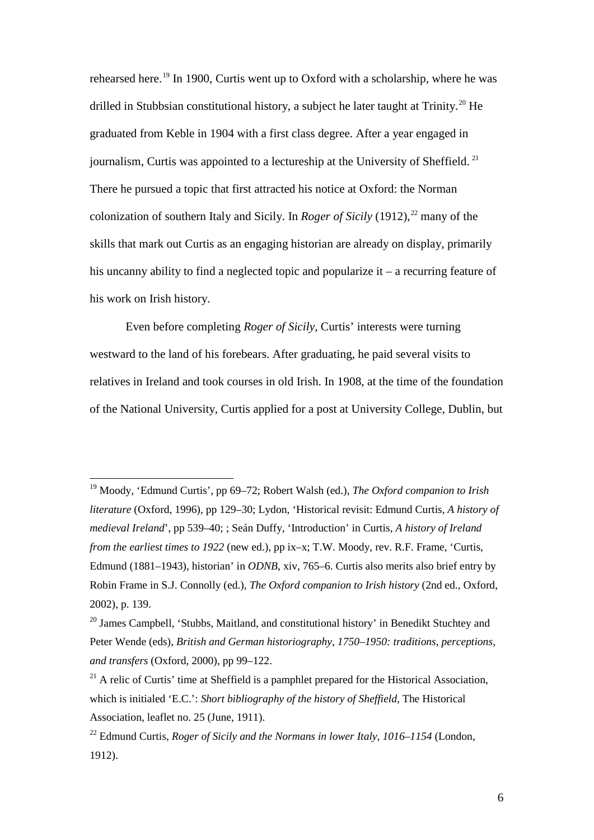rehearsed here.<sup>[19](#page-5-0)</sup> In 1900, Curtis went up to Oxford with a scholarship, where he was drilled in Stubbsian constitutional history, a subject he later taught at Trinity.<sup>[20](#page-5-1)</sup> He graduated from Keble in 1904 with a first class degree. After a year engaged in journalism, Curtis was appointed to a lectureship at the University of Sheffield.<sup>[21](#page-5-2)</sup> There he pursued a topic that first attracted his notice at Oxford: the Norman colonization of southern Italy and Sicily. In *Roger of Sicily* (1912), [22](#page-5-3) many of the skills that mark out Curtis as an engaging historian are already on display, primarily his uncanny ability to find a neglected topic and popularize it – a recurring feature of his work on Irish history.

Even before completing *Roger of Sicily*, Curtis' interests were turning westward to the land of his forebears. After graduating, he paid several visits to relatives in Ireland and took courses in old Irish. In 1908, at the time of the foundation of the National University, Curtis applied for a post at University College, Dublin, but

<span id="page-5-0"></span> <sup>19</sup> Moody, 'Edmund Curtis', pp 69–72; Robert Walsh (ed.), *The Oxford companion to Irish literature* (Oxford, 1996), pp 129–30; Lydon, 'Historical revisit: Edmund Curtis, *A history of medieval Ireland*', pp 539–40; ; Seán Duffy, 'Introduction' in Curtis, *A history of Ireland from the earliest times to 1922* (new ed.), pp ix–x; T.W. Moody, rev. R.F. Frame, 'Curtis, Edmund (1881–1943), historian' in *ODNB*, xiv, 765–6. Curtis also merits also brief entry by Robin Frame in S.J. Connolly (ed.), *The Oxford companion to Irish history* (2nd ed., Oxford, 2002), p. 139.

<span id="page-5-1"></span><sup>&</sup>lt;sup>20</sup> James Campbell, 'Stubbs, Maitland, and constitutional history' in Benedikt Stuchtey and Peter Wende (eds), *British and German historiography, 1750–1950: traditions, perceptions, and transfers* (Oxford, 2000), pp 99–122.

<span id="page-5-2"></span> $21$  A relic of Curtis' time at Sheffield is a pamphlet prepared for the Historical Association, which is initialed 'E.C.': *Short bibliography of the history of Sheffield*, The Historical Association, leaflet no. 25 (June, 1911).

<span id="page-5-3"></span><sup>22</sup> Edmund Curtis, *Roger of Sicily and the Normans in lower Italy, 1016–1154* (London, 1912).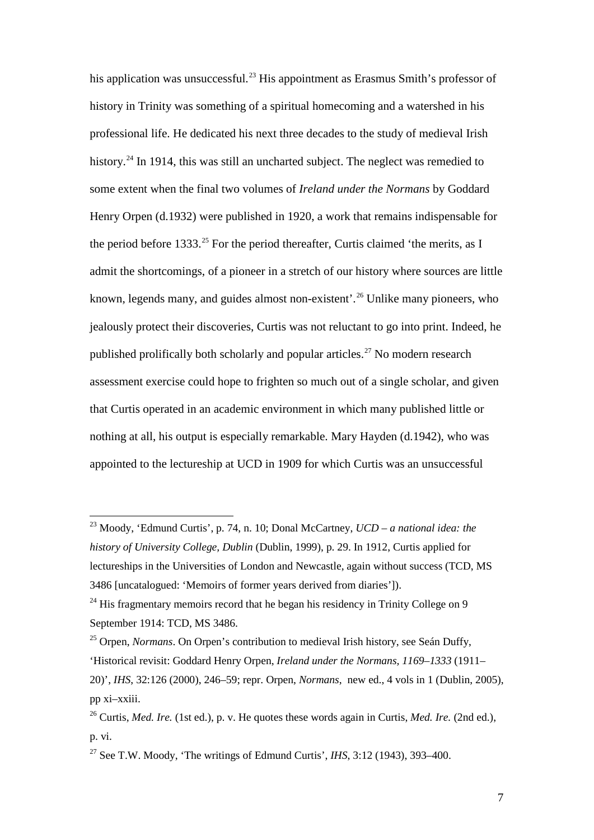his application was unsuccessful.<sup>[23](#page-6-0)</sup> His appointment as Erasmus Smith's professor of history in Trinity was something of a spiritual homecoming and a watershed in his professional life. He dedicated his next three decades to the study of medieval Irish history.<sup>[24](#page-6-1)</sup> In 1914, this was still an uncharted subject. The neglect was remedied to some extent when the final two volumes of *Ireland under the Normans* by Goddard Henry Orpen (d.1932) were published in 1920, a work that remains indispensable for the period before 1333.<sup>[25](#page-6-2)</sup> For the period thereafter, Curtis claimed 'the merits, as I admit the shortcomings, of a pioneer in a stretch of our history where sources are little known, legends many, and guides almost non-existent'.<sup>[26](#page-6-3)</sup> Unlike many pioneers, who jealously protect their discoveries, Curtis was not reluctant to go into print. Indeed, he published prolifically both scholarly and popular articles.<sup>[27](#page-6-4)</sup> No modern research assessment exercise could hope to frighten so much out of a single scholar, and given that Curtis operated in an academic environment in which many published little or nothing at all, his output is especially remarkable. Mary Hayden (d.1942), who was appointed to the lectureship at UCD in 1909 for which Curtis was an unsuccessful

<span id="page-6-0"></span> <sup>23</sup> Moody, 'Edmund Curtis', p. 74, n. 10; Donal McCartney, *UCD – a national idea: the history of University College, Dublin* (Dublin, 1999), p. 29. In 1912, Curtis applied for lectureships in the Universities of London and Newcastle, again without success (TCD, MS 3486 [uncatalogued: 'Memoirs of former years derived from diaries']).

<span id="page-6-1"></span> $24$  His fragmentary memoirs record that he began his residency in Trinity College on 9 September 1914: TCD, MS 3486.

<span id="page-6-2"></span><sup>25</sup> Orpen, *Normans*. On Orpen's contribution to medieval Irish history, see Seán Duffy,

<sup>&#</sup>x27;Historical revisit: Goddard Henry Orpen, *Ireland under the Normans, 1169–1333* (1911–

<sup>20)&#</sup>x27;, *IHS*, 32:126 (2000), 246–59; repr. Orpen, *Normans*, new ed., 4 vols in 1 (Dublin, 2005), pp xi–xxiii.

<span id="page-6-3"></span><sup>26</sup> Curtis, *Med. Ire.* (1st ed.), p. v. He quotes these words again in Curtis, *Med. Ire.* (2nd ed.), p. vi.

<span id="page-6-4"></span><sup>&</sup>lt;sup>27</sup> See T.W. Moody, 'The writings of Edmund Curtis', *IHS*,  $3:12$  (1943),  $393-400$ .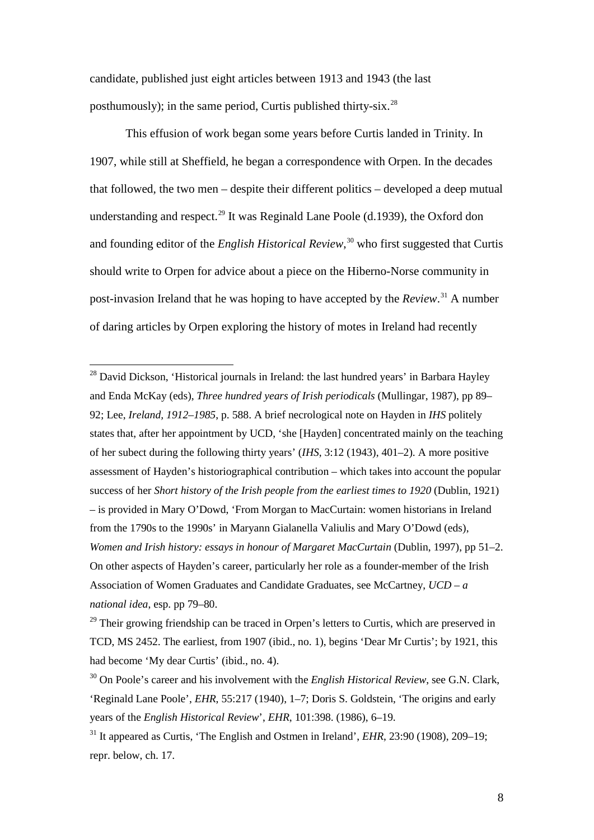candidate, published just eight articles between 1913 and 1943 (the last posthumously); in the same period, Curtis published thirty-six.<sup>[28](#page-7-0)</sup>

This effusion of work began some years before Curtis landed in Trinity. In 1907, while still at Sheffield, he began a correspondence with Orpen. In the decades that followed, the two men – despite their different politics – developed a deep mutual understanding and respect.<sup>[29](#page-7-1)</sup> It was Reginald Lane Poole (d.1939), the Oxford don and founding editor of the *English Historical Review*, [30](#page-7-2) who first suggested that Curtis should write to Orpen for advice about a piece on the Hiberno-Norse community in post-invasion Ireland that he was hoping to have accepted by the *Review*. [31](#page-7-3) A number of daring articles by Orpen exploring the history of motes in Ireland had recently

<span id="page-7-0"></span><sup>28</sup> David Dickson, 'Historical journals in Ireland: the last hundred years' in Barbara Hayley and Enda McKay (eds), *Three hundred years of Irish periodicals* (Mullingar, 1987), pp 89– 92; Lee, *Ireland, 1912–1985*, p. 588. A brief necrological note on Hayden in *IHS* politely states that, after her appointment by UCD, 'she [Hayden] concentrated mainly on the teaching of her subect during the following thirty years' (*IHS*, 3:12 (1943), 401–2). A more positive assessment of Hayden's historiographical contribution – which takes into account the popular success of her *Short history of the Irish people from the earliest times to 1920* (Dublin, 1921) – is provided in Mary O'Dowd, 'From Morgan to MacCurtain: women historians in Ireland from the 1790s to the 1990s' in Maryann Gialanella Valiulis and Mary O'Dowd (eds), *Women and Irish history: essays in honour of Margaret MacCurtain* (Dublin, 1997), pp 51–2. On other aspects of Hayden's career, particularly her role as a founder-member of the Irish Association of Women Graduates and Candidate Graduates, see McCartney, *UCD – a national idea*, esp. pp 79–80.

<span id="page-7-1"></span> $29$  Their growing friendship can be traced in Orpen's letters to Curtis, which are preserved in TCD, MS 2452. The earliest, from 1907 (ibid., no. 1), begins 'Dear Mr Curtis'; by 1921, this had become 'My dear Curtis' (ibid., no. 4).

<span id="page-7-2"></span><sup>&</sup>lt;sup>30</sup> On Poole's career and his involvement with the *English Historical Review*, see G.N. Clark, 'Reginald Lane Poole', *EHR*, 55:217 (1940), 1–7; Doris S. Goldstein, 'The origins and early years of the *English Historical Review*', *EHR*, 101:398. (1986), 6–19.

<span id="page-7-3"></span><sup>&</sup>lt;sup>31</sup> It appeared as Curtis, 'The English and Ostmen in Ireland', *EHR*, 23:90 (1908), 209–19; repr. below, ch. 17.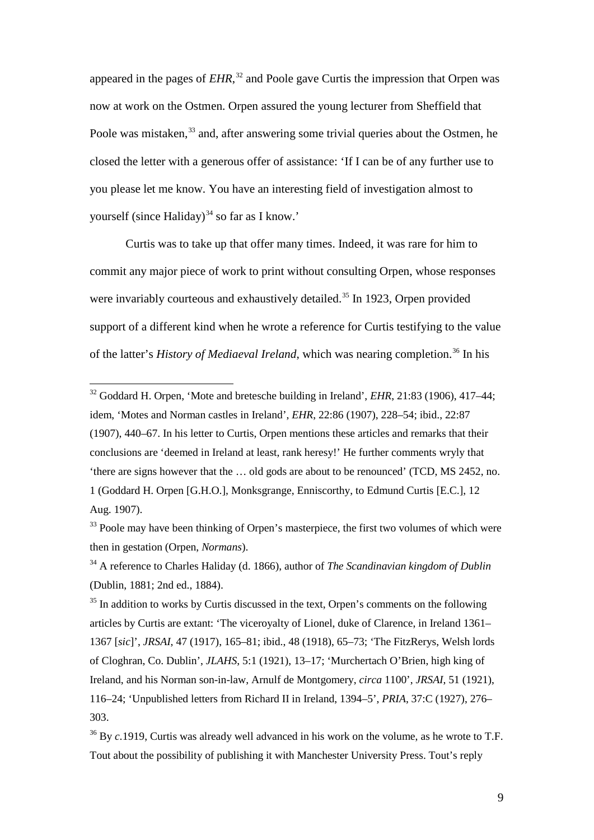appeared in the pages of *EHR*, [32](#page-8-0) and Poole gave Curtis the impression that Orpen was now at work on the Ostmen. Orpen assured the young lecturer from Sheffield that Poole was mistaken,<sup>[33](#page-8-1)</sup> and, after answering some trivial queries about the Ostmen, he closed the letter with a generous offer of assistance: 'If I can be of any further use to you please let me know. You have an interesting field of investigation almost to yourself (since Haliday)<sup>[34](#page-8-2)</sup> so far as I know.'

Curtis was to take up that offer many times. Indeed, it was rare for him to commit any major piece of work to print without consulting Orpen, whose responses were invariably courteous and exhaustively detailed.<sup>[35](#page-8-3)</sup> In 1923, Orpen provided support of a different kind when he wrote a reference for Curtis testifying to the value of the latter's *History of Mediaeval Ireland*, which was nearing completion.<sup>[36](#page-8-4)</sup> In his

<span id="page-8-0"></span> <sup>32</sup> Goddard H. Orpen, 'Mote and bretesche building in Ireland', *EHR*, 21:83 (1906), 417–44; idem, 'Motes and Norman castles in Ireland', *EHR*, 22:86 (1907), 228–54; ibid., 22:87 (1907), 440–67. In his letter to Curtis, Orpen mentions these articles and remarks that their conclusions are 'deemed in Ireland at least, rank heresy!' He further comments wryly that 'there are signs however that the … old gods are about to be renounced' (TCD, MS 2452, no. 1 (Goddard H. Orpen [G.H.O.], Monksgrange, Enniscorthy, to Edmund Curtis [E.C.], 12 Aug. 1907).

<span id="page-8-1"></span><sup>&</sup>lt;sup>33</sup> Poole may have been thinking of Orpen's masterpiece, the first two volumes of which were then in gestation (Orpen, *Normans*).

<span id="page-8-2"></span><sup>34</sup> A reference to Charles Haliday (d. 1866), author of *The Scandinavian kingdom of Dublin* (Dublin, 1881; 2nd ed., 1884).

<span id="page-8-3"></span> $35$  In addition to works by Curtis discussed in the text, Orpen's comments on the following articles by Curtis are extant: 'The viceroyalty of Lionel, duke of Clarence, in Ireland 1361– 1367 [*sic*]', *JRSAI*, 47 (1917), 165–81; ibid., 48 (1918), 65–73; 'The FitzRerys, Welsh lords of Cloghran, Co. Dublin', *JLAHS*, 5:1 (1921), 13–17; 'Murchertach O'Brien, high king of Ireland, and his Norman son-in-law, Arnulf de Montgomery, *circa* 1100', *JRSAI*, 51 (1921), 116–24; 'Unpublished letters from Richard II in Ireland, 1394–5', *PRIA*, 37:C (1927), 276– 303.

<span id="page-8-4"></span><sup>&</sup>lt;sup>36</sup> By *c*.1919, Curtis was already well advanced in his work on the volume, as he wrote to T.F. Tout about the possibility of publishing it with Manchester University Press. Tout's reply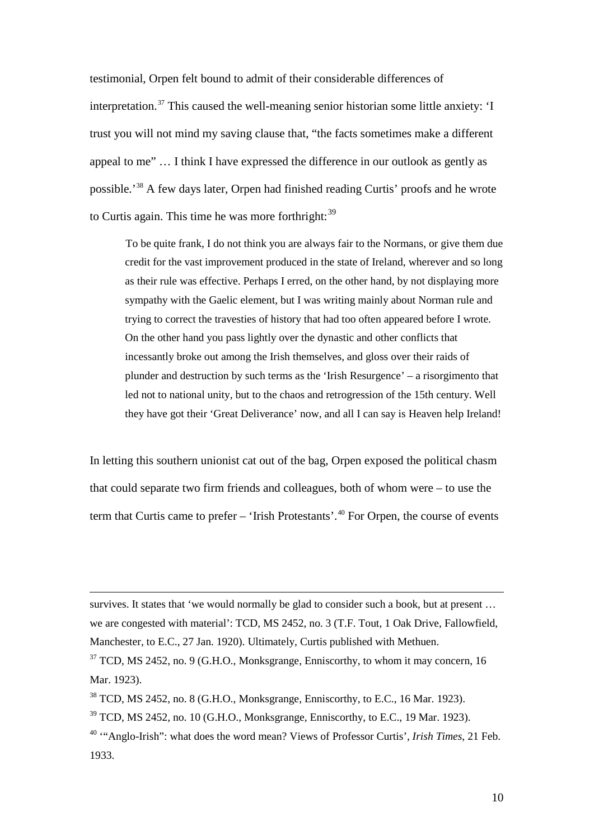testimonial, Orpen felt bound to admit of their considerable differences of interpretation. [37](#page-9-0) This caused the well-meaning senior historian some little anxiety: 'I trust you will not mind my saving clause that, "the facts sometimes make a different appeal to me" … I think I have expressed the difference in our outlook as gently as possible.<sup>[38](#page-9-1)</sup> A few days later, Orpen had finished reading Curtis' proofs and he wrote to Curtis again. This time he was more forthright:<sup>[39](#page-9-2)</sup>

To be quite frank, I do not think you are always fair to the Normans, or give them due credit for the vast improvement produced in the state of Ireland, wherever and so long as their rule was effective. Perhaps I erred, on the other hand, by not displaying more sympathy with the Gaelic element, but I was writing mainly about Norman rule and trying to correct the travesties of history that had too often appeared before I wrote. On the other hand you pass lightly over the dynastic and other conflicts that incessantly broke out among the Irish themselves, and gloss over their raids of plunder and destruction by such terms as the 'Irish Resurgence' – a risorgimento that led not to national unity, but to the chaos and retrogression of the 15th century. Well they have got their 'Great Deliverance' now, and all I can say is Heaven help Ireland!

In letting this southern unionist cat out of the bag, Orpen exposed the political chasm that could separate two firm friends and colleagues, both of whom were – to use the term that Curtis came to prefer – 'Irish Protestants'. [40](#page-9-3) For Orpen, the course of events

survives. It states that 'we would normally be glad to consider such a book, but at present ... we are congested with material': TCD, MS 2452, no. 3 (T.F. Tout, 1 Oak Drive, Fallowfield, Manchester, to E.C., 27 Jan. 1920). Ultimately, Curtis published with Methuen.

 $\overline{a}$ 

<span id="page-9-0"></span> $37$  TCD, MS 2452, no. 9 (G.H.O., Monksgrange, Enniscorthy, to whom it may concern, 16 Mar. 1923).

<span id="page-9-1"></span> $38$  TCD, MS 2452, no. 8 (G.H.O., Monksgrange, Enniscorthy, to E.C., 16 Mar. 1923).

<span id="page-9-2"></span> $39$  TCD, MS 2452, no. 10 (G.H.O., Monksgrange, Enniscorthy, to E.C., 19 Mar. 1923).

<span id="page-9-3"></span><sup>40</sup> '"Anglo-Irish": what does the word mean? Views of Professor Curtis', *Irish Times*, 21 Feb. 1933.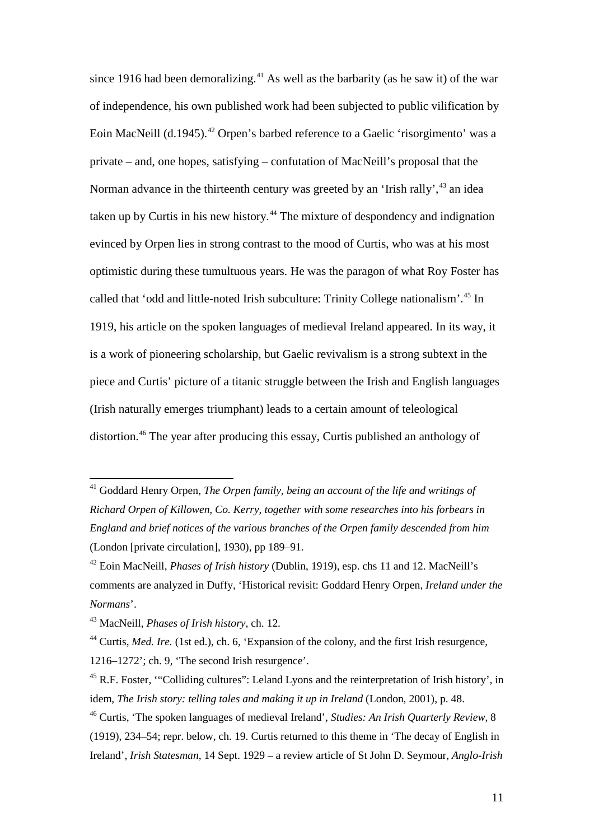since 1916 had been demoralizing.<sup>[41](#page-10-0)</sup> As well as the barbarity (as he saw it) of the war of independence, his own published work had been subjected to public vilification by Eoin MacNeill (d.1945).<sup>[42](#page-10-1)</sup> Orpen's barbed reference to a Gaelic 'risorgimento' was a private – and, one hopes, satisfying – confutation of MacNeill's proposal that the Norman advance in the thirteenth century was greeted by an 'Irish rally',<sup>[43](#page-10-2)</sup> an idea taken up by Curtis in his new history.[44](#page-10-3) The mixture of despondency and indignation evinced by Orpen lies in strong contrast to the mood of Curtis, who was at his most optimistic during these tumultuous years. He was the paragon of what Roy Foster has called that 'odd and little-noted Irish subculture: Trinity College nationalism'. [45](#page-10-4) In 1919, his article on the spoken languages of medieval Ireland appeared. In its way, it is a work of pioneering scholarship, but Gaelic revivalism is a strong subtext in the piece and Curtis' picture of a titanic struggle between the Irish and English languages (Irish naturally emerges triumphant) leads to a certain amount of teleological distortion. [46](#page-10-5) The year after producing this essay, Curtis published an anthology of

<span id="page-10-0"></span><sup>&</sup>lt;sup>41</sup> Goddard Henry Orpen, *The Orpen family, being an account of the life and writings of Richard Orpen of Killowen, Co. Kerry, together with some researches into his forbears in England and brief notices of the various branches of the Orpen family descended from him* (London [private circulation], 1930), pp 189–91.

<span id="page-10-1"></span><sup>42</sup> Eoin MacNeill, *Phases of Irish history* (Dublin, 1919), esp. chs 11 and 12. MacNeill's comments are analyzed in Duffy, 'Historical revisit: Goddard Henry Orpen, *Ireland under the Normans*'.

<span id="page-10-2"></span><sup>43</sup> MacNeill, *Phases of Irish history*, ch. 12.

<span id="page-10-3"></span><sup>44</sup> Curtis, *Med. Ire.* (1st ed.), ch. 6, 'Expansion of the colony, and the first Irish resurgence, 1216–1272'; ch. 9, 'The second Irish resurgence'.

<span id="page-10-4"></span><sup>&</sup>lt;sup>45</sup> R.F. Foster, "Colliding cultures": Leland Lyons and the reinterpretation of Irish history', in idem, *The Irish story: telling tales and making it up in Ireland* (London, 2001), p. 48.

<span id="page-10-5"></span><sup>46</sup> Curtis, 'The spoken languages of medieval Ireland', *Studies: An Irish Quarterly Review*, 8 (1919), 234–54; repr. below, ch. 19. Curtis returned to this theme in 'The decay of English in Ireland', *Irish Statesman*, 14 Sept. 1929 – a review article of St John D. Seymour, *Anglo-Irish*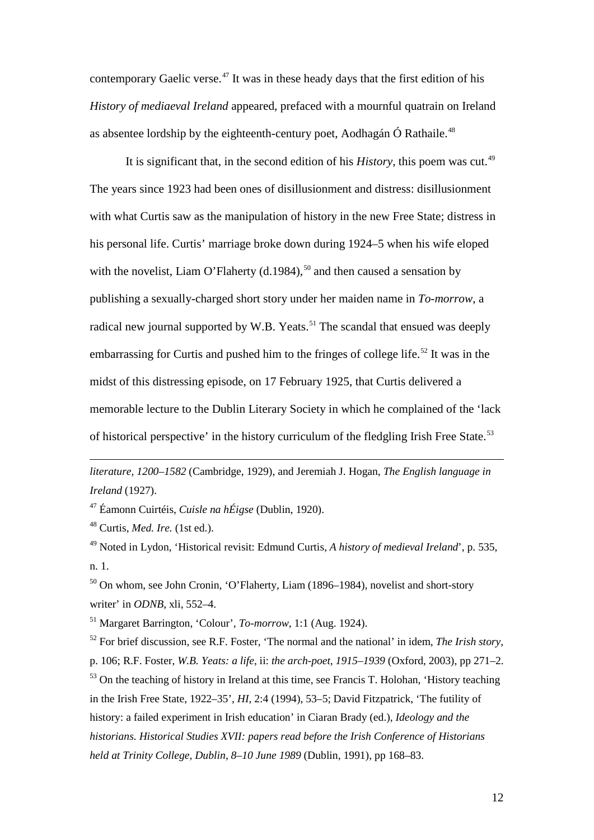contemporary Gaelic verse.<sup>[47](#page-11-0)</sup> It was in these heady days that the first edition of his *History of mediaeval Ireland* appeared, prefaced with a mournful quatrain on Ireland as absentee lordship by the eighteenth-century poet, Aodhagán Ó Rathaile. $^{48}$  $^{48}$  $^{48}$ 

It is significant that, in the second edition of his *History*, this poem was cut.<sup>[49](#page-11-2)</sup> The years since 1923 had been ones of disillusionment and distress: disillusionment with what Curtis saw as the manipulation of history in the new Free State; distress in his personal life. Curtis' marriage broke down during 1924–5 when his wife eloped with the novelist, Liam O'Flaherty  $(d.1984)$ ,<sup>[50](#page-11-3)</sup> and then caused a sensation by publishing a sexually-charged short story under her maiden name in *To-morrow*, a radical new journal supported by W.B. Yeats.<sup>[51](#page-11-4)</sup> The scandal that ensued was deeply embarrassing for Curtis and pushed him to the fringes of college life.<sup>[52](#page-11-5)</sup> It was in the midst of this distressing episode, on 17 February 1925, that Curtis delivered a memorable lecture to the Dublin Literary Society in which he complained of the 'lack of historical perspective' in the history curriculum of the fledgling Irish Free State.<sup>[53](#page-11-6)</sup>

*literature, 1200–1582* (Cambridge, 1929), and Jeremiah J. Hogan, *The English language in Ireland* (1927).

<span id="page-11-0"></span><sup>47</sup> Éamonn Cuirtéis, *Cuisle na hÉigse* (Dublin, 1920).

<span id="page-11-1"></span><sup>48</sup> Curtis, *Med. Ire.* (1st ed.).

 $\overline{a}$ 

<span id="page-11-2"></span><sup>49</sup> Noted in Lydon, 'Historical revisit: Edmund Curtis, *A history of medieval Ireland*', p. 535, n. 1.

<span id="page-11-3"></span><sup>50</sup> On whom, see John Cronin, 'O'Flaherty, Liam (1896–1984), novelist and short-story writer' in *ODNB*, xli, 552–4.

<span id="page-11-4"></span><sup>51</sup> Margaret Barrington, 'Colour', *To-morrow*, 1:1 (Aug. 1924).

<span id="page-11-6"></span><span id="page-11-5"></span><sup>52</sup> For brief discussion, see R.F. Foster, 'The normal and the national' in idem, *The Irish story*, p. 106; R.F. Foster, *W.B. Yeats: a life*, ii: *the arch-poet, 1915–1939* (Oxford, 2003), pp 271–2. <sup>53</sup> On the teaching of history in Ireland at this time, see Francis T. Holohan, 'History teaching in the Irish Free State, 1922–35', *HI*, 2:4 (1994), 53–5; David Fitzpatrick, 'The futility of history: a failed experiment in Irish education' in Ciaran Brady (ed.), *Ideology and the historians. Historical Studies XVII: papers read before the Irish Conference of Historians held at Trinity College, Dublin, 8–10 June 1989* (Dublin, 1991), pp 168–83.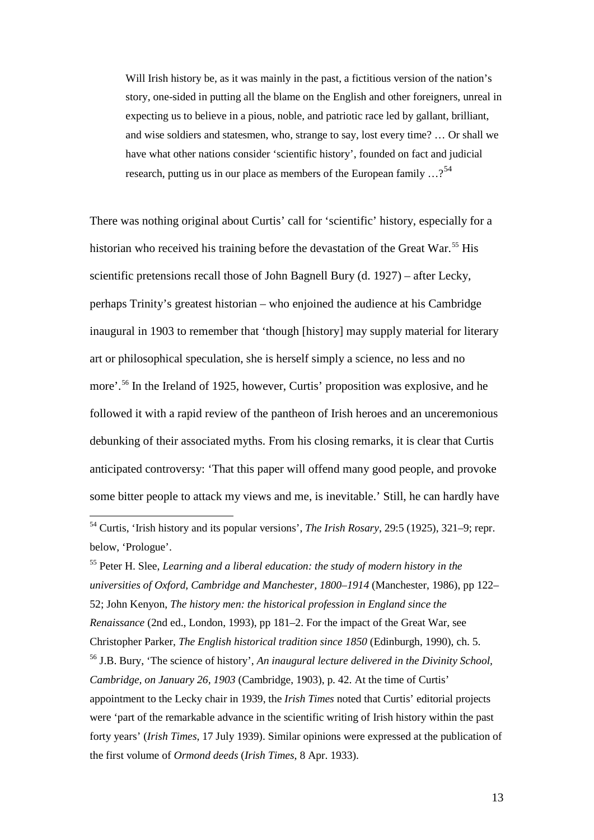Will Irish history be, as it was mainly in the past, a fictitious version of the nation's story, one-sided in putting all the blame on the English and other foreigners, unreal in expecting us to believe in a pious, noble, and patriotic race led by gallant, brilliant, and wise soldiers and statesmen, who, strange to say, lost every time? … Or shall we have what other nations consider 'scientific history', founded on fact and judicial research, putting us in our place as members of the European family  $\ldots$ ?<sup>[54](#page-12-0)</sup>

There was nothing original about Curtis' call for 'scientific' history, especially for a historian who received his training before the devastation of the Great War. [55](#page-12-1) His scientific pretensions recall those of John Bagnell Bury (d. 1927) – after Lecky, perhaps Trinity's greatest historian – who enjoined the audience at his Cambridge inaugural in 1903 to remember that 'though [history] may supply material for literary art or philosophical speculation, she is herself simply a science, no less and no more'.[56](#page-12-2) In the Ireland of 1925, however, Curtis' proposition was explosive, and he followed it with a rapid review of the pantheon of Irish heroes and an unceremonious debunking of their associated myths. From his closing remarks, it is clear that Curtis anticipated controversy: 'That this paper will offend many good people, and provoke some bitter people to attack my views and me, is inevitable.' Still, he can hardly have

<span id="page-12-2"></span><span id="page-12-1"></span><sup>55</sup> Peter H. Slee, *Learning and a liberal education: the study of modern history in the universities of Oxford, Cambridge and Manchester, 1800–1914* (Manchester, 1986), pp 122– 52; John Kenyon, *The history men: the historical profession in England since the Renaissance* (2nd ed., London, 1993), pp 181–2. For the impact of the Great War, see Christopher Parker, *The English historical tradition since 1850* (Edinburgh, 1990), ch. 5. <sup>56</sup> J.B. Bury, 'The science of history', *An inaugural lecture delivered in the Divinity School, Cambridge, on January 26, 1903* (Cambridge, 1903), p. 42. At the time of Curtis' appointment to the Lecky chair in 1939, the *Irish Times* noted that Curtis' editorial projects were 'part of the remarkable advance in the scientific writing of Irish history within the past forty years' (*Irish Times*, 17 July 1939). Similar opinions were expressed at the publication of the first volume of *Ormond deeds* (*Irish Times*, 8 Apr. 1933).

<span id="page-12-0"></span> <sup>54</sup> Curtis, 'Irish history and its popular versions', *The Irish Rosary*, 29:5 (1925), 321–9; repr. below, 'Prologue'.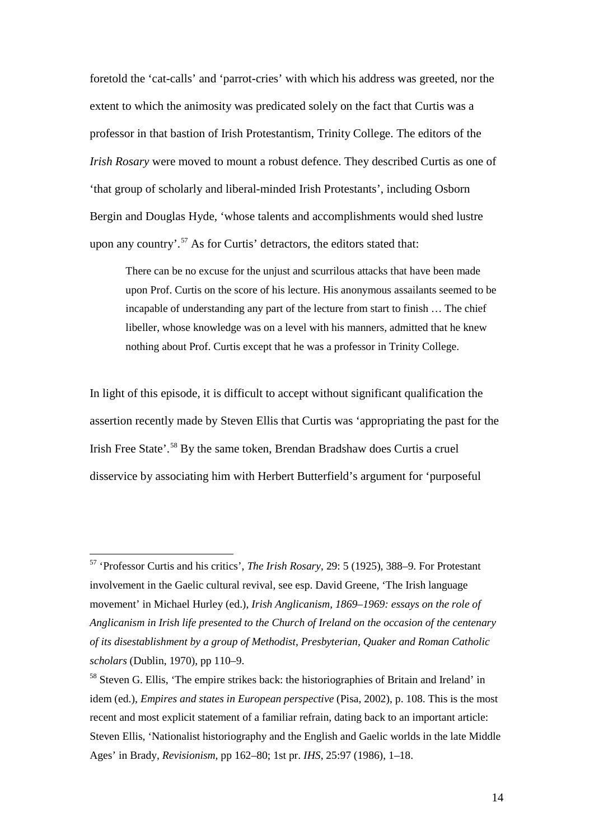foretold the 'cat-calls' and 'parrot-cries' with which his address was greeted, nor the extent to which the animosity was predicated solely on the fact that Curtis was a professor in that bastion of Irish Protestantism, Trinity College. The editors of the *Irish Rosary* were moved to mount a robust defence. They described Curtis as one of 'that group of scholarly and liberal-minded Irish Protestants', including Osborn Bergin and Douglas Hyde, 'whose talents and accomplishments would shed lustre upon any country'.<sup>[57](#page-13-0)</sup> As for Curtis' detractors, the editors stated that:

There can be no excuse for the unjust and scurrilous attacks that have been made upon Prof. Curtis on the score of his lecture. His anonymous assailants seemed to be incapable of understanding any part of the lecture from start to finish … The chief libeller, whose knowledge was on a level with his manners, admitted that he knew nothing about Prof. Curtis except that he was a professor in Trinity College.

In light of this episode, it is difficult to accept without significant qualification the assertion recently made by Steven Ellis that Curtis was 'appropriating the past for the Irish Free State'.[58](#page-13-1) By the same token, Brendan Bradshaw does Curtis a cruel disservice by associating him with Herbert Butterfield's argument for 'purposeful

<span id="page-13-0"></span> <sup>57</sup> 'Professor Curtis and his critics', *The Irish Rosary*, 29: 5 (1925), 388–9. For Protestant involvement in the Gaelic cultural revival, see esp. David Greene, 'The Irish language movement' in Michael Hurley (ed.), *Irish Anglicanism, 1869–1969: essays on the role of Anglicanism in Irish life presented to the Church of Ireland on the occasion of the centenary of its disestablishment by a group of Methodist, Presbyterian, Quaker and Roman Catholic scholars* (Dublin, 1970), pp 110–9.

<span id="page-13-1"></span><sup>&</sup>lt;sup>58</sup> Steven G. Ellis, 'The empire strikes back: the historiographies of Britain and Ireland' in idem (ed.), *Empires and states in European perspective* (Pisa, 2002), p. 108. This is the most recent and most explicit statement of a familiar refrain, dating back to an important article: Steven Ellis, 'Nationalist historiography and the English and Gaelic worlds in the late Middle Ages' in Brady, *Revisionism*, pp 162–80; 1st pr. *IHS*, 25:97 (1986), 1–18.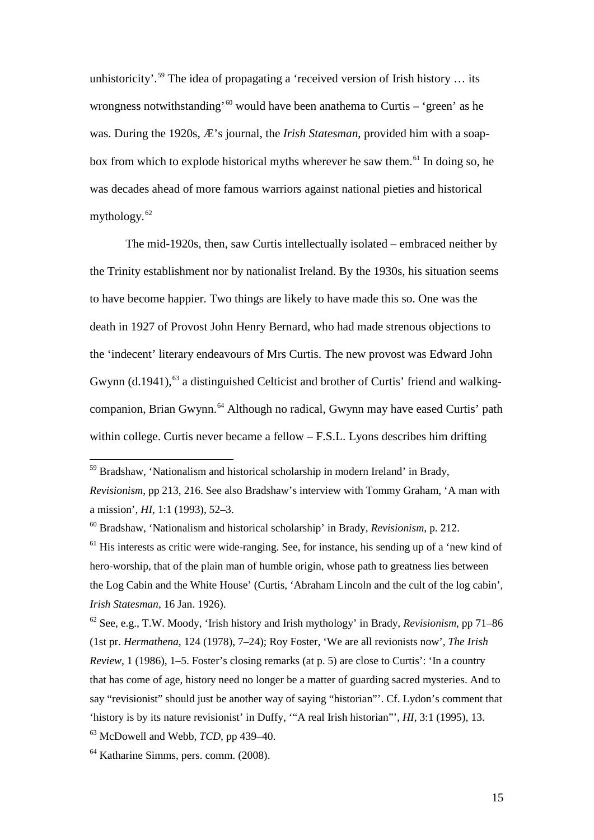unhistoricity'.<sup>[59](#page-14-0)</sup> The idea of propagating a 'received version of Irish history ... its wrongness notwithstanding'<sup>[60](#page-14-1)</sup> would have been anathema to Curtis – 'green' as he was. During the 1920s, Æ's journal, the *Irish Statesman*, provided him with a soapbox from which to explode historical myths wherever he saw them.<sup> $61$ </sup> In doing so, he was decades ahead of more famous warriors against national pieties and historical mythology.<sup>[62](#page-14-3)</sup>

The mid-1920s, then, saw Curtis intellectually isolated – embraced neither by the Trinity establishment nor by nationalist Ireland. By the 1930s, his situation seems to have become happier. Two things are likely to have made this so. One was the death in 1927 of Provost John Henry Bernard, who had made strenous objections to the 'indecent' literary endeavours of Mrs Curtis. The new provost was Edward John Gwynn (d.1941),<sup>[63](#page-14-4)</sup> a distinguished Celticist and brother of Curtis' friend and walkingcompanion, Brian Gwynn. [64](#page-14-5) Although no radical, Gwynn may have eased Curtis' path within college. Curtis never became a fellow – F.S.L. Lyons describes him drifting

<span id="page-14-3"></span><sup>62</sup> See, e.g., T.W. Moody, 'Irish history and Irish mythology' in Brady, *Revisionism*, pp 71–86 (1st pr. *Hermathena*, 124 (1978), 7–24); Roy Foster, 'We are all revionists now', *The Irish Review*, 1 (1986), 1–5. Foster's closing remarks (at p. 5) are close to Curtis': 'In a country that has come of age, history need no longer be a matter of guarding sacred mysteries. And to say "revisionist" should just be another way of saying "historian"'. Cf. Lydon's comment that 'history is by its nature revisionist' in Duffy, '"A real Irish historian"', *HI*, 3:1 (1995), 13.

<span id="page-14-4"></span><sup>63</sup> McDowell and Webb, *TCD*, pp 439–40.

<span id="page-14-5"></span> $<sup>64</sup>$  Katharine Simms, pers. comm. (2008).</sup>

<span id="page-14-0"></span> $59$  Bradshaw, 'Nationalism and historical scholarship in modern Ireland' in Brady,

*Revisionism*, pp 213, 216. See also Bradshaw's interview with Tommy Graham, 'A man with a mission', *HI*, 1:1 (1993), 52–3.

<span id="page-14-1"></span><sup>60</sup> Bradshaw, 'Nationalism and historical scholarship' in Brady, *Revisionism*, p. 212.

<span id="page-14-2"></span> $<sup>61</sup>$  His interests as critic were wide-ranging. See, for instance, his sending up of a 'new kind of</sup> hero-worship, that of the plain man of humble origin, whose path to greatness lies between the Log Cabin and the White House' (Curtis, 'Abraham Lincoln and the cult of the log cabin', *Irish Statesman*, 16 Jan. 1926).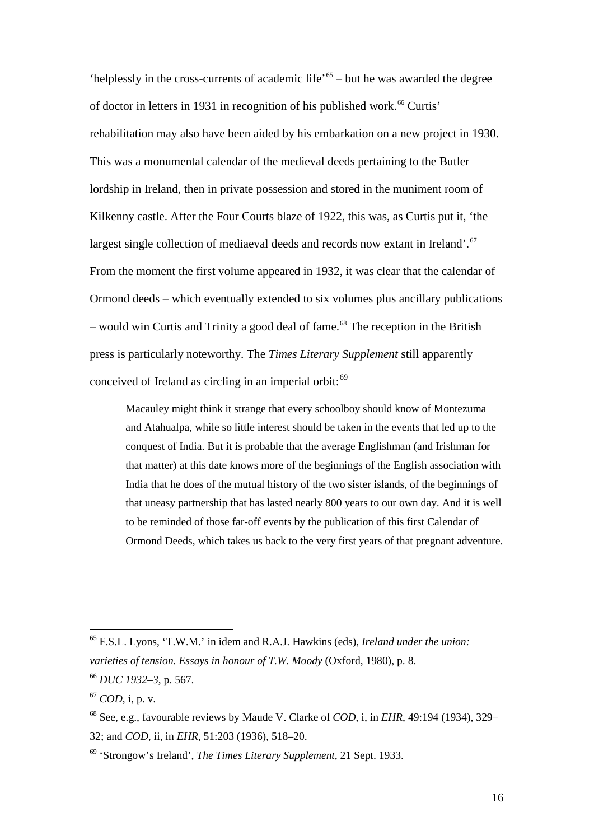'helplessly in the cross-currents of academic life'<sup>[65](#page-15-0)</sup> – but he was awarded the degree of doctor in letters in 1931 in recognition of his published work. [66](#page-15-1) Curtis' rehabilitation may also have been aided by his embarkation on a new project in 1930. This was a monumental calendar of the medieval deeds pertaining to the Butler lordship in Ireland, then in private possession and stored in the muniment room of Kilkenny castle. After the Four Courts blaze of 1922, this was, as Curtis put it, 'the largest single collection of mediaeval deeds and records now extant in Ireland'.<sup>[67](#page-15-2)</sup> From the moment the first volume appeared in 1932, it was clear that the calendar of Ormond deeds – which eventually extended to six volumes plus ancillary publications – would win Curtis and Trinity a good deal of fame.<sup>[68](#page-15-3)</sup> The reception in the British press is particularly noteworthy. The *Times Literary Supplement* still apparently conceived of Ireland as circling in an imperial orbit:<sup>[69](#page-15-4)</sup>

Macauley might think it strange that every schoolboy should know of Montezuma and Atahualpa, while so little interest should be taken in the events that led up to the conquest of India. But it is probable that the average Englishman (and Irishman for that matter) at this date knows more of the beginnings of the English association with India that he does of the mutual history of the two sister islands, of the beginnings of that uneasy partnership that has lasted nearly 800 years to our own day. And it is well to be reminded of those far-off events by the publication of this first Calendar of Ormond Deeds, which takes us back to the very first years of that pregnant adventure.

<span id="page-15-0"></span> <sup>65</sup> F.S.L. Lyons, 'T.W.M.' in idem and R.A.J. Hawkins (eds), *Ireland under the union: varieties of tension. Essays in honour of T.W. Moody* (Oxford, 1980), p. 8.

<span id="page-15-1"></span><sup>66</sup> *DUC 1932–3*, p. 567.

<span id="page-15-2"></span><sup>67</sup> *COD*, i, p. v.

<span id="page-15-3"></span><sup>68</sup> See, e.g., favourable reviews by Maude V. Clarke of *COD*, i, in *EHR*, 49:194 (1934), 329– 32; and *COD*, ii, in *EHR*, 51:203 (1936), 518–20.

<span id="page-15-4"></span><sup>69</sup> 'Strongow's Ireland', *The Times Literary Supplement*, 21 Sept. 1933.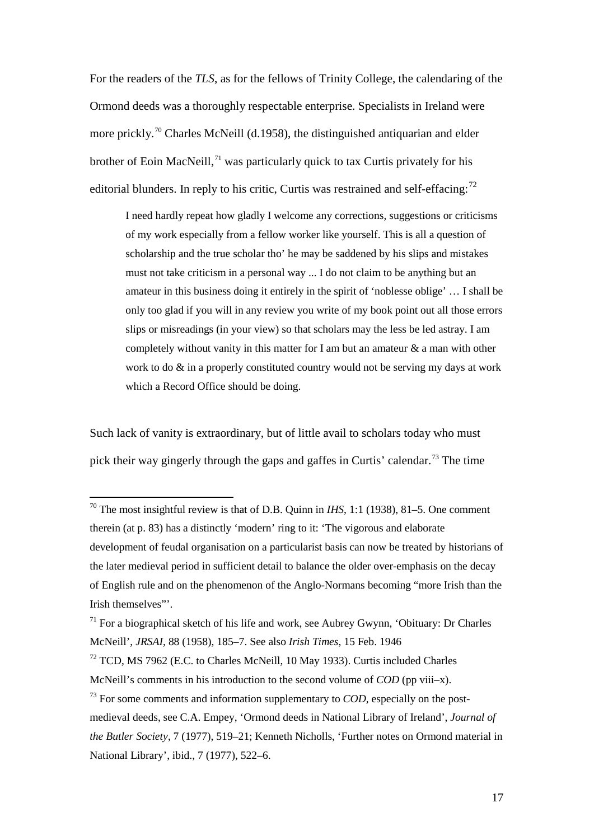For the readers of the *TLS*, as for the fellows of Trinity College, the calendaring of the Ormond deeds was a thoroughly respectable enterprise. Specialists in Ireland were more prickly.<sup>[70](#page-16-0)</sup> Charles McNeill (d.1958), the distinguished antiquarian and elder brother of Eoin MacNeill,<sup>[71](#page-16-1)</sup> was particularly quick to tax Curtis privately for his editorial blunders. In reply to his critic, Curtis was restrained and self-effacing: $^{72}$  $^{72}$  $^{72}$ 

I need hardly repeat how gladly I welcome any corrections, suggestions or criticisms of my work especially from a fellow worker like yourself. This is all a question of scholarship and the true scholar tho' he may be saddened by his slips and mistakes must not take criticism in a personal way ... I do not claim to be anything but an amateur in this business doing it entirely in the spirit of 'noblesse oblige' … I shall be only too glad if you will in any review you write of my book point out all those errors slips or misreadings (in your view) so that scholars may the less be led astray. I am completely without vanity in this matter for I am but an amateur  $\&$  a man with other work to do & in a properly constituted country would not be serving my days at work which a Record Office should be doing.

Such lack of vanity is extraordinary, but of little avail to scholars today who must pick their way gingerly through the gaps and gaffes in Curtis' calendar. [73](#page-16-3) The time

<span id="page-16-0"></span><sup>&</sup>lt;sup>70</sup> The most insightful review is that of D.B. Quinn in *IHS*, 1:1 (1938), 81–5. One comment therein (at p. 83) has a distinctly 'modern' ring to it: 'The vigorous and elaborate development of feudal organisation on a particularist basis can now be treated by historians of the later medieval period in sufficient detail to balance the older over-emphasis on the decay of English rule and on the phenomenon of the Anglo-Normans becoming "more Irish than the Irish themselves"'.

<span id="page-16-1"></span> $71$  For a biographical sketch of his life and work, see Aubrey Gwynn, 'Obituary: Dr Charles McNeill', *JRSAI*, 88 (1958), 185–7. See also *Irish Times*, 15 Feb. 1946

<span id="page-16-2"></span><sup>&</sup>lt;sup>72</sup> TCD, MS 7962 (E.C. to Charles McNeill, 10 May 1933). Curtis included Charles

McNeill's comments in his introduction to the second volume of *COD* (pp viii–x).

<span id="page-16-3"></span><sup>&</sup>lt;sup>73</sup> For some comments and information supplementary to *COD*, especially on the postmedieval deeds, see C.A. Empey, 'Ormond deeds in National Library of Ireland', *Journal of the Butler Society*, 7 (1977), 519–21; Kenneth Nicholls, 'Further notes on Ormond material in National Library', ibid., 7 (1977), 522–6.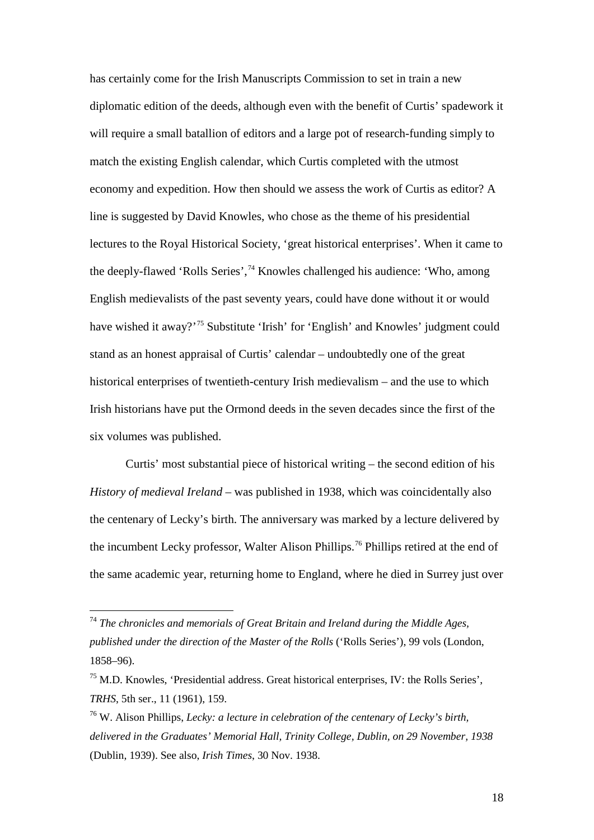has certainly come for the Irish Manuscripts Commission to set in train a new diplomatic edition of the deeds, although even with the benefit of Curtis' spadework it will require a small batallion of editors and a large pot of research-funding simply to match the existing English calendar, which Curtis completed with the utmost economy and expedition. How then should we assess the work of Curtis as editor? A line is suggested by David Knowles, who chose as the theme of his presidential lectures to the Royal Historical Society, 'great historical enterprises'. When it came to the deeply-flawed 'Rolls Series', [74](#page-17-0) Knowles challenged his audience: 'Who, among English medievalists of the past seventy years, could have done without it or would have wished it away?<sup>[75](#page-17-1)</sup> Substitute 'Irish' for 'English' and Knowles' judgment could stand as an honest appraisal of Curtis' calendar – undoubtedly one of the great historical enterprises of twentieth-century Irish medievalism – and the use to which Irish historians have put the Ormond deeds in the seven decades since the first of the six volumes was published.

Curtis' most substantial piece of historical writing – the second edition of his *History of medieval Ireland* – was published in 1938, which was coincidentally also the centenary of Lecky's birth. The anniversary was marked by a lecture delivered by the incumbent Lecky professor, Walter Alison Phillips.<sup>[76](#page-17-2)</sup> Phillips retired at the end of the same academic year, returning home to England, where he died in Surrey just over

<span id="page-17-0"></span> <sup>74</sup> *The chronicles and memorials of Great Britain and Ireland during the Middle Ages, published under the direction of the Master of the Rolls* ('Rolls Series'), 99 vols (London, 1858–96).

<span id="page-17-1"></span><sup>75</sup> M.D. Knowles, 'Presidential address. Great historical enterprises, IV: the Rolls Series', *TRHS*, 5th ser., 11 (1961), 159.

<span id="page-17-2"></span><sup>76</sup> W. Alison Phillips, *Lecky: a lecture in celebration of the centenary of Lecky's birth, delivered in the Graduates' Memorial Hall, Trinity College, Dublin, on 29 November, 1938* (Dublin, 1939). See also, *Irish Times*, 30 Nov. 1938.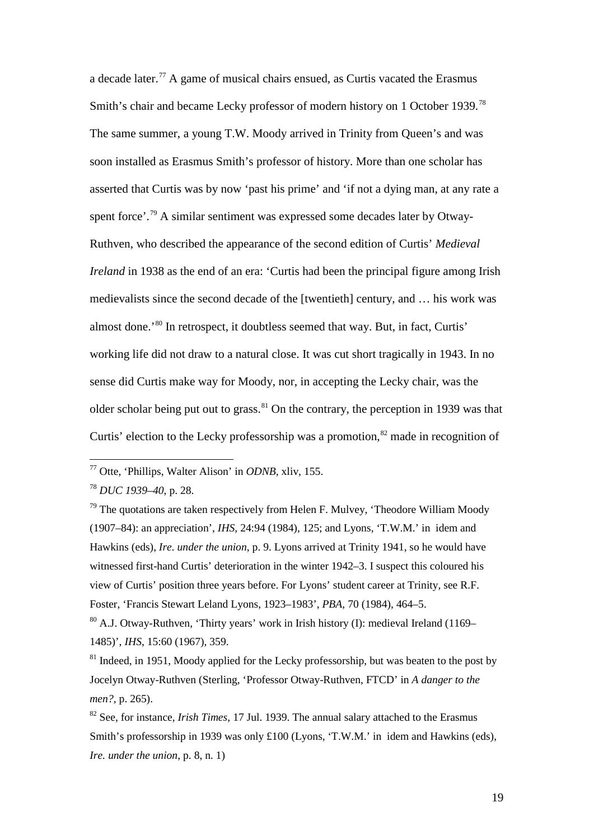a decade later.[77](#page-18-0) A game of musical chairs ensued, as Curtis vacated the Erasmus Smith's chair and became Lecky professor of modern history on 1 October 1939.<sup>[78](#page-18-1)</sup> The same summer, a young T.W. Moody arrived in Trinity from Queen's and was soon installed as Erasmus Smith's professor of history. More than one scholar has asserted that Curtis was by now 'past his prime' and 'if not a dying man, at any rate a spent force'.<sup>[79](#page-18-2)</sup> A similar sentiment was expressed some decades later by Otway-Ruthven, who described the appearance of the second edition of Curtis' *Medieval Ireland* in 1938 as the end of an era: 'Curtis had been the principal figure among Irish medievalists since the second decade of the [twentieth] century, and … his work was almost done.' [80](#page-18-3) In retrospect, it doubtless seemed that way. But, in fact, Curtis' working life did not draw to a natural close. It was cut short tragically in 1943. In no sense did Curtis make way for Moody, nor, in accepting the Lecky chair, was the older scholar being put out to grass. $81$  On the contrary, the perception in 1939 was that Curtis' election to the Lecky professorship was a promotion,  $82$  made in recognition of

<span id="page-18-0"></span> <sup>77</sup> Otte, 'Phillips, Walter Alison' in *ODNB*, xliv, 155.

<span id="page-18-1"></span><sup>78</sup> *DUC 1939–40*, p. 28.

<span id="page-18-2"></span> $79$  The quotations are taken respectively from Helen F. Mulvey, 'Theodore William Moody (1907–84): an appreciation', *IHS*, 24:94 (1984), 125; and Lyons, 'T.W.M.' in idem and Hawkins (eds), *Ire. under the union*, p. 9. Lyons arrived at Trinity 1941, so he would have witnessed first-hand Curtis' deterioration in the winter 1942–3. I suspect this coloured his view of Curtis' position three years before. For Lyons' student career at Trinity, see R.F. Foster, 'Francis Stewart Leland Lyons, 1923–1983', *PBA*, 70 (1984), 464–5.

<span id="page-18-3"></span> $80$  A.J. Otway-Ruthven, 'Thirty years' work in Irish history (I): medieval Ireland (1169– 1485)', *IHS*, 15:60 (1967), 359.

<span id="page-18-4"></span> $81$  Indeed, in 1951, Moody applied for the Lecky professorship, but was beaten to the post by Jocelyn Otway-Ruthven (Sterling, 'Professor Otway-Ruthven, FTCD' in *A danger to the men?*, p. 265).

<span id="page-18-5"></span><sup>82</sup> See, for instance, *Irish Times*, 17 Jul. 1939. The annual salary attached to the Erasmus Smith's professorship in 1939 was only £100 (Lyons, 'T.W.M.' in idem and Hawkins (eds), *Ire. under the union*, p. 8, n. 1)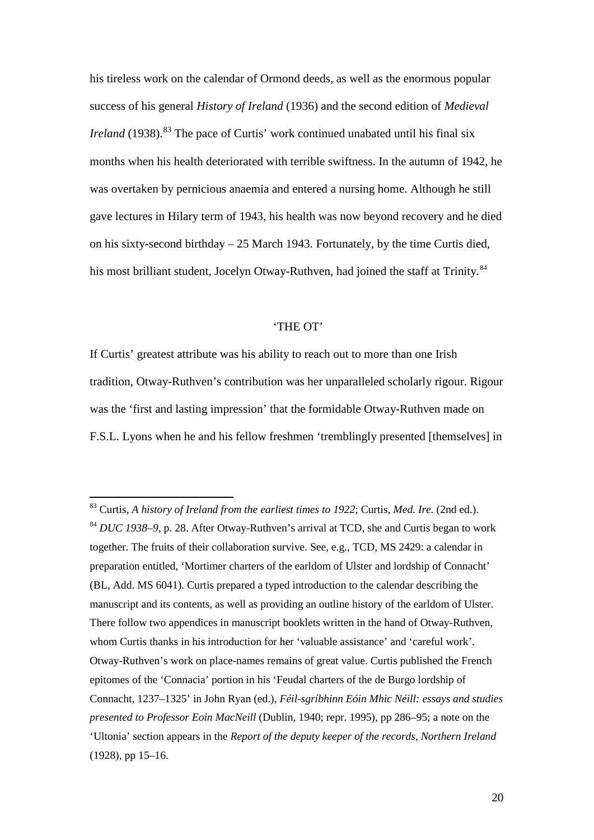his tireless work on the calendar of Ormond deeds, as well as the enormous popular success of his general *History of Ireland* (1936) and the second edition of *Medieval Ireland* (1938).<sup>[83](#page-19-0)</sup> The pace of Curtis' work continued unabated until his final six months when his health deteriorated with terrible swiftness. In the autumn of 1942, he was overtaken by pernicious anaemia and entered a nursing home. Although he still gave lectures in Hilary term of 1943, his health was now beyond recovery and he died on his sixty-second birthday – 25 March 1943. Fortunately, by the time Curtis died, his most brilliant student, Jocelyn Otway-Ruthven, had joined the staff at Trinity.<sup>[84](#page-19-1)</sup>

## 'THE OT'

If Curtis' greatest attribute was his ability to reach out to more than one Irish tradition, Otway-Ruthven's contribution was her unparalleled scholarly rigour. Rigour was the 'first and lasting impression' that the formidable Otway-Ruthven made on F.S.L. Lyons when he and his fellow freshmen 'tremblingly presented [themselves] in

<span id="page-19-1"></span><span id="page-19-0"></span> <sup>83</sup> Curtis, *A history of Ireland from the earliest times to 1922*; Curtis, *Med. Ire.* (2nd ed.). <sup>84</sup> *DUC 1938–9*, p. 28. After Otway-Ruthven's arrival at TCD, she and Curtis began to work together. The fruits of their collaboration survive. See, e.g., TCD, MS 2429: a calendar in preparation entitled, 'Mortimer charters of the earldom of Ulster and lordship of Connacht' (BL, Add. MS 6041). Curtis prepared a typed introduction to the calendar describing the manuscript and its contents, as well as providing an outline history of the earldom of Ulster. There follow two appendices in manuscript booklets written in the hand of Otway-Ruthven, whom Curtis thanks in his introduction for her 'valuable assistance' and 'careful work'. Otway-Ruthven's work on place-names remains of great value. Curtis published the French epitomes of the 'Connacia' portion in his 'Feudal charters of the de Burgo lordship of Connacht, 1237–1325' in John Ryan (ed.), *Féil-sgríbhinn Eóin Mhic Néill: essays and studies presented to Professor Eoin MacNeill* (Dublin, 1940; repr. 1995), pp 286–95; a note on the 'Ultonia' section appears in the *Report of the deputy keeper of the records, Northern Ireland* (1928), pp 15–16.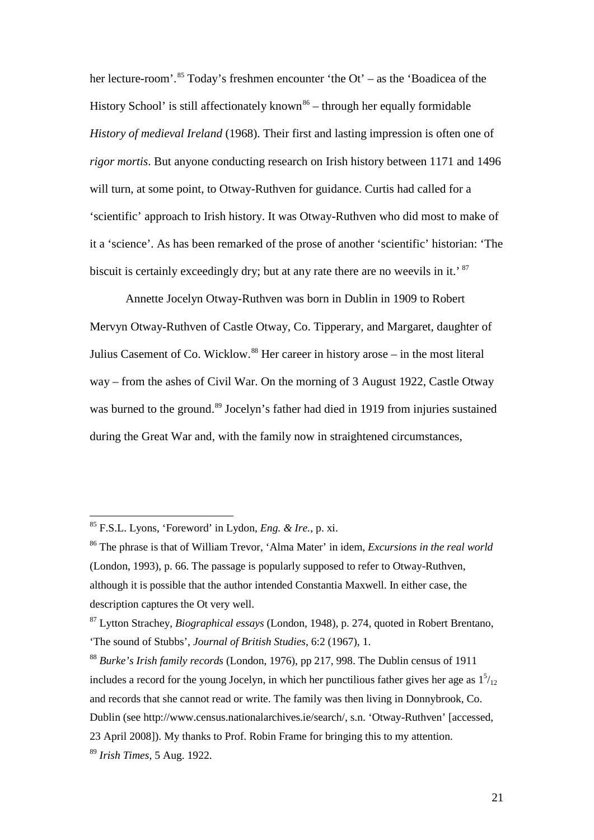her lecture-room'.<sup>[85](#page-20-0)</sup> Today's freshmen encounter 'the Ot' – as the 'Boadicea of the History School' is still affectionately known<sup>[86](#page-20-1)</sup> – through her equally formidable *History of medieval Ireland* (1968). Their first and lasting impression is often one of *rigor mortis*. But anyone conducting research on Irish history between 1171 and 1496 will turn, at some point, to Otway-Ruthven for guidance. Curtis had called for a 'scientific' approach to Irish history. It was Otway-Ruthven who did most to make of it a 'science'. As has been remarked of the prose of another 'scientific' historian: 'The biscuit is certainly exceedingly dry; but at any rate there are no weevils in it.<sup>[87](#page-20-2)</sup>

Annette Jocelyn Otway-Ruthven was born in Dublin in 1909 to Robert Mervyn Otway-Ruthven of Castle Otway, Co. Tipperary, and Margaret, daughter of Julius Casement of Co. Wicklow.<sup>[88](#page-20-3)</sup> Her career in history arose – in the most literal way – from the ashes of Civil War. On the morning of 3 August 1922, Castle Otway was burned to the ground.<sup>[89](#page-20-4)</sup> Jocelyn's father had died in 1919 from injuries sustained during the Great War and, with the family now in straightened circumstances,

<span id="page-20-0"></span> <sup>85</sup> F.S.L. Lyons, 'Foreword' in Lydon, *Eng. & Ire.*, p. xi.

<span id="page-20-1"></span><sup>86</sup> The phrase is that of William Trevor, 'Alma Mater' in idem, *Excursions in the real world* (London, 1993), p. 66. The passage is popularly supposed to refer to Otway-Ruthven, although it is possible that the author intended Constantia Maxwell. In either case, the description captures the Ot very well.

<span id="page-20-2"></span><sup>87</sup> Lytton Strachey, *Biographical essays* (London, 1948), p. 274, quoted in Robert Brentano, 'The sound of Stubbs', *Journal of British Studies*, 6:2 (1967), 1.

<span id="page-20-4"></span><span id="page-20-3"></span><sup>88</sup> *Burke's Irish family records* (London, 1976), pp 217, 998. The Dublin census of 1911 includes a record for the young Jocelyn, in which her punctilious father gives her age as  $1<sup>5</sup>/<sub>12</sub>$ and records that she cannot read or write. The family was then living in Donnybrook, Co. Dublin (see [http://www.census.nationalarchives.ie/search/,](http://www.census.nationalarchives.ie/search/) s.n. 'Otway-Ruthven' [accessed, 23 April 2008]). My thanks to Prof. Robin Frame for bringing this to my attention. <sup>89</sup> *Irish Times*, 5 Aug. 1922.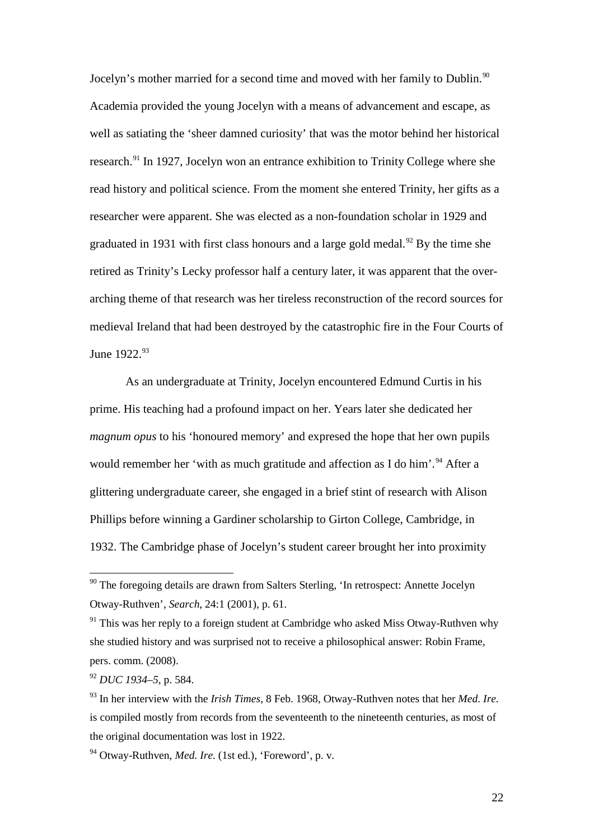Jocelyn's mother married for a second time and moved with her family to Dublin.<sup>[90](#page-21-0)</sup> Academia provided the young Jocelyn with a means of advancement and escape, as well as satiating the 'sheer damned curiosity' that was the motor behind her historical research.<sup>[91](#page-21-1)</sup> In 1927, Jocelyn won an entrance exhibition to Trinity College where she read history and political science. From the moment she entered Trinity, her gifts as a researcher were apparent. She was elected as a non-foundation scholar in 1929 and graduated in 1931 with first class honours and a large gold medal.<sup>[92](#page-21-2)</sup> By the time she retired as Trinity's Lecky professor half a century later, it was apparent that the overarching theme of that research was her tireless reconstruction of the record sources for medieval Ireland that had been destroyed by the catastrophic fire in the Four Courts of June 1922.<sup>[93](#page-21-3)</sup>

As an undergraduate at Trinity, Jocelyn encountered Edmund Curtis in his prime. His teaching had a profound impact on her. Years later she dedicated her *magnum opus* to his 'honoured memory' and expresed the hope that her own pupils would remember her 'with as much gratitude and affection as I do him'.<sup>[94](#page-21-4)</sup> After a glittering undergraduate career, she engaged in a brief stint of research with Alison Phillips before winning a Gardiner scholarship to Girton College, Cambridge, in 1932. The Cambridge phase of Jocelyn's student career brought her into proximity

<span id="page-21-0"></span><sup>&</sup>lt;sup>90</sup> The foregoing details are drawn from Salters Sterling, 'In retrospect: Annette Jocelyn Otway-Ruthven', *Search*, 24:1 (2001), p. 61.

<span id="page-21-1"></span> $91$  This was her reply to a foreign student at Cambridge who asked Miss Otway-Ruthven why she studied history and was surprised not to receive a philosophical answer: Robin Frame, pers. comm. (2008).

<span id="page-21-2"></span><sup>92</sup> *DUC 1934–5*, p. 584.

<span id="page-21-3"></span><sup>93</sup> In her interview with the *Irish Times*, 8 Feb. 1968, Otway-Ruthven notes that her *Med. Ire.* is compiled mostly from records from the seventeenth to the nineteenth centuries, as most of the original documentation was lost in 1922.

<span id="page-21-4"></span><sup>94</sup> Otway-Ruthven, *Med. Ire.* (1st ed.), 'Foreword', p. v.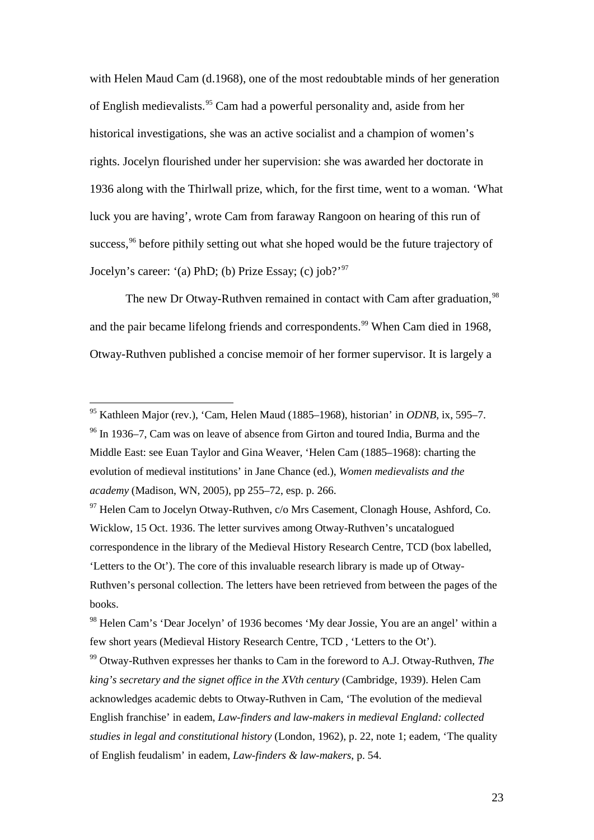with Helen Maud Cam (d.1968), one of the most redoubtable minds of her generation of English medievalists.[95](#page-22-0) Cam had a powerful personality and, aside from her historical investigations, she was an active socialist and a champion of women's rights. Jocelyn flourished under her supervision: she was awarded her doctorate in 1936 along with the Thirlwall prize, which, for the first time, went to a woman. 'What luck you are having', wrote Cam from faraway Rangoon on hearing of this run of success,<sup>[96](#page-22-1)</sup> before pithily setting out what she hoped would be the future trajectory of Jocelyn's career: '(a) PhD; (b) Prize Essay; (c) job?['97](#page-22-2)

The new Dr Otway-Ruthven remained in contact with Cam after graduation, <sup>[98](#page-22-3)</sup> and the pair became lifelong friends and correspondents.<sup>[99](#page-22-4)</sup> When Cam died in 1968, Otway-Ruthven published a concise memoir of her former supervisor. It is largely a

<span id="page-22-1"></span><span id="page-22-0"></span> <sup>95</sup> Kathleen Major (rev.), 'Cam, Helen Maud (1885–1968), historian' in *ODNB*, ix, 595–7. <sup>96</sup> In 1936–7, Cam was on leave of absence from Girton and toured India, Burma and the Middle East: see Euan Taylor and Gina Weaver, 'Helen Cam (1885–1968): charting the evolution of medieval institutions' in Jane Chance (ed.), *Women medievalists and the academy* (Madison, WN, 2005), pp 255–72, esp. p. 266.

<span id="page-22-2"></span><sup>&</sup>lt;sup>97</sup> Helen Cam to Jocelyn Otway-Ruthven, c/o Mrs Casement, Clonagh House, Ashford, Co. Wicklow, 15 Oct. 1936. The letter survives among Otway-Ruthven's uncatalogued correspondence in the library of the Medieval History Research Centre, TCD (box labelled, 'Letters to the Ot'). The core of this invaluable research library is made up of Otway-Ruthven's personal collection. The letters have been retrieved from between the pages of the books.

<span id="page-22-3"></span><sup>98</sup> Helen Cam's 'Dear Jocelyn' of 1936 becomes 'My dear Jossie, You are an angel' within a few short years (Medieval History Research Centre, TCD , 'Letters to the Ot').

<span id="page-22-4"></span><sup>99</sup> Otway-Ruthven expresses her thanks to Cam in the foreword to A.J. Otway-Ruthven, *The king's secretary and the signet office in the XVth century* (Cambridge, 1939). Helen Cam acknowledges academic debts to Otway-Ruthven in Cam, 'The evolution of the medieval English franchise' in eadem, *Law-finders and law-makers in medieval England: collected studies in legal and constitutional history* (London, 1962), p. 22, note 1; eadem, 'The quality of English feudalism' in eadem, *Law-finders & law-makers*, p. 54.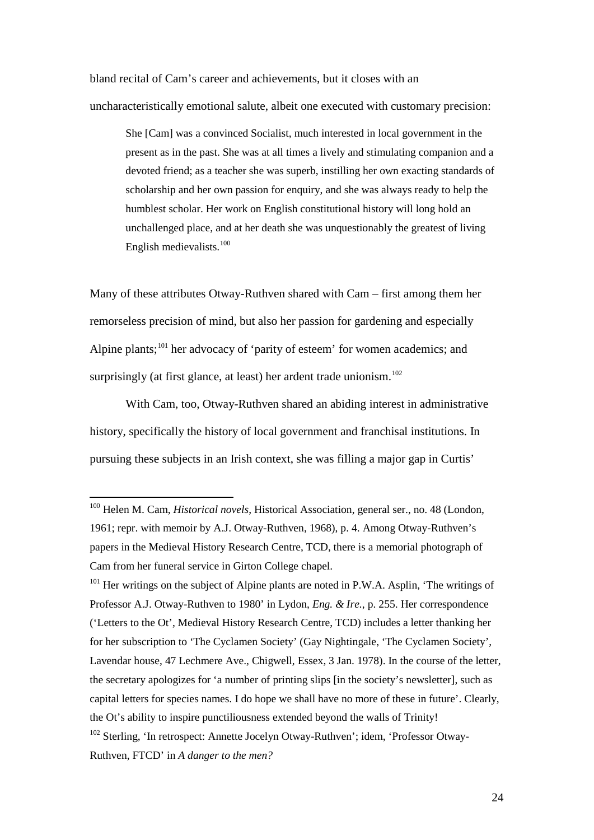bland recital of Cam's career and achievements, but it closes with an uncharacteristically emotional salute, albeit one executed with customary precision:

She [Cam] was a convinced Socialist, much interested in local government in the present as in the past. She was at all times a lively and stimulating companion and a devoted friend; as a teacher she was superb, instilling her own exacting standards of scholarship and her own passion for enquiry, and she was always ready to help the humblest scholar. Her work on English constitutional history will long hold an unchallenged place, and at her death she was unquestionably the greatest of living English medievalists.<sup>[100](#page-23-0)</sup>

Many of these attributes Otway-Ruthven shared with Cam – first among them her remorseless precision of mind, but also her passion for gardening and especially Alpine plants;<sup>[101](#page-23-1)</sup> her advocacy of 'parity of esteem' for women academics; and surprisingly (at first glance, at least) her ardent trade unionism.<sup>[102](#page-23-2)</sup>

With Cam, too, Otway-Ruthven shared an abiding interest in administrative history, specifically the history of local government and franchisal institutions. In pursuing these subjects in an Irish context, she was filling a major gap in Curtis'

<span id="page-23-1"></span> $101$  Her writings on the subject of Alpine plants are noted in P.W.A. Asplin, 'The writings of Professor A.J. Otway-Ruthven to 1980' in Lydon, *Eng. & Ire.*, p. 255. Her correspondence ('Letters to the Ot', Medieval History Research Centre, TCD) includes a letter thanking her for her subscription to 'The Cyclamen Society' (Gay Nightingale, 'The Cyclamen Society', Lavendar house, 47 Lechmere Ave., Chigwell, Essex, 3 Jan. 1978). In the course of the letter, the secretary apologizes for 'a number of printing slips [in the society's newsletter], such as capital letters for species names. I do hope we shall have no more of these in future'. Clearly, the Ot's ability to inspire punctiliousness extended beyond the walls of Trinity!

<span id="page-23-0"></span> <sup>100</sup> Helen M. Cam, *Historical novels*, Historical Association, general ser., no. 48 (London, 1961; repr. with memoir by A.J. Otway-Ruthven, 1968), p. 4. Among Otway-Ruthven's papers in the Medieval History Research Centre, TCD, there is a memorial photograph of Cam from her funeral service in Girton College chapel.

<span id="page-23-2"></span><sup>&</sup>lt;sup>102</sup> Sterling, 'In retrospect: Annette Jocelyn Otway-Ruthven'; idem, 'Professor Otway-Ruthven, FTCD' in *A danger to the men?*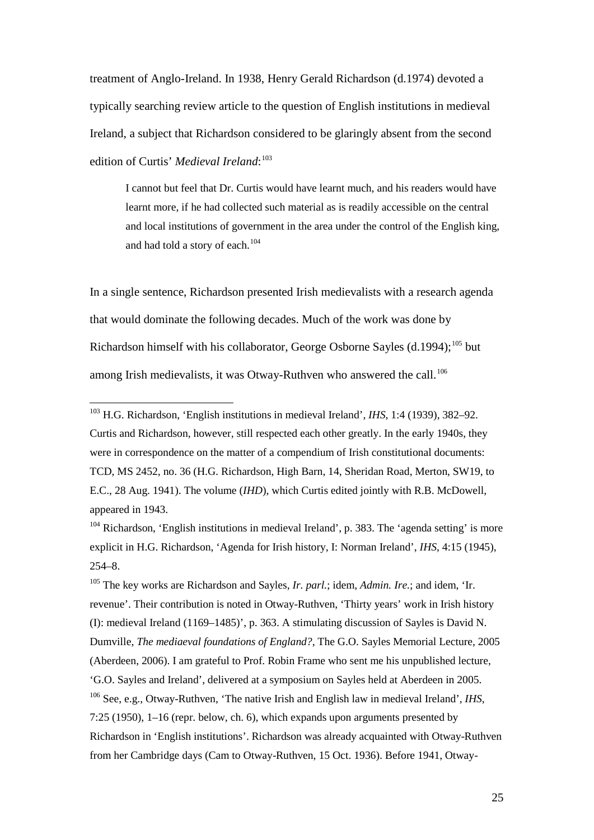treatment of Anglo-Ireland. In 1938, Henry Gerald Richardson (d.1974) devoted a typically searching review article to the question of English institutions in medieval Ireland, a subject that Richardson considered to be glaringly absent from the second edition of Curtis' *Medieval Ireland*: [103](#page-24-0)

I cannot but feel that Dr. Curtis would have learnt much, and his readers would have learnt more, if he had collected such material as is readily accessible on the central and local institutions of government in the area under the control of the English king, and had told a story of each. $104$ 

In a single sentence, Richardson presented Irish medievalists with a research agenda that would dominate the following decades. Much of the work was done by Richardson himself with his collaborator, George Osborne Sayles (d.1994);<sup>[105](#page-24-2)</sup> but among Irish medievalists, it was Otway-Ruthven who answered the call.<sup>[106](#page-24-3)</sup>

<span id="page-24-1"></span><sup>104</sup> Richardson, 'English institutions in medieval Ireland', p. 383. The 'agenda setting' is more explicit in H.G. Richardson, 'Agenda for Irish history, I: Norman Ireland', *IHS*, 4:15 (1945), 254–8.

<span id="page-24-3"></span><span id="page-24-2"></span><sup>105</sup> The key works are Richardson and Sayles, *Ir. parl.*; idem, *Admin. Ire.*; and idem, 'Ir. revenue'. Their contribution is noted in Otway-Ruthven, 'Thirty years' work in Irish history (I): medieval Ireland (1169–1485)', p. 363. A stimulating discussion of Sayles is David N. Dumville, *The mediaeval foundations of England?*, The G.O. Sayles Memorial Lecture, 2005 (Aberdeen, 2006). I am grateful to Prof. Robin Frame who sent me his unpublished lecture, 'G.O. Sayles and Ireland', delivered at a symposium on Sayles held at Aberdeen in 2005. <sup>106</sup> See, e.g., Otway-Ruthven, 'The native Irish and English law in medieval Ireland', *IHS*, 7:25 (1950), 1–16 (repr. below, ch. 6), which expands upon arguments presented by Richardson in 'English institutions'. Richardson was already acquainted with Otway-Ruthven from her Cambridge days (Cam to Otway-Ruthven, 15 Oct. 1936). Before 1941, Otway-

<span id="page-24-0"></span> <sup>103</sup> H.G. Richardson, 'English institutions in medieval Ireland', *IHS*, 1:4 (1939), 382–92. Curtis and Richardson, however, still respected each other greatly. In the early 1940s, they were in correspondence on the matter of a compendium of Irish constitutional documents: TCD, MS 2452, no. 36 (H.G. Richardson, High Barn, 14, Sheridan Road, Merton, SW19, to E.C., 28 Aug. 1941). The volume (*IHD*), which Curtis edited jointly with R.B. McDowell, appeared in 1943.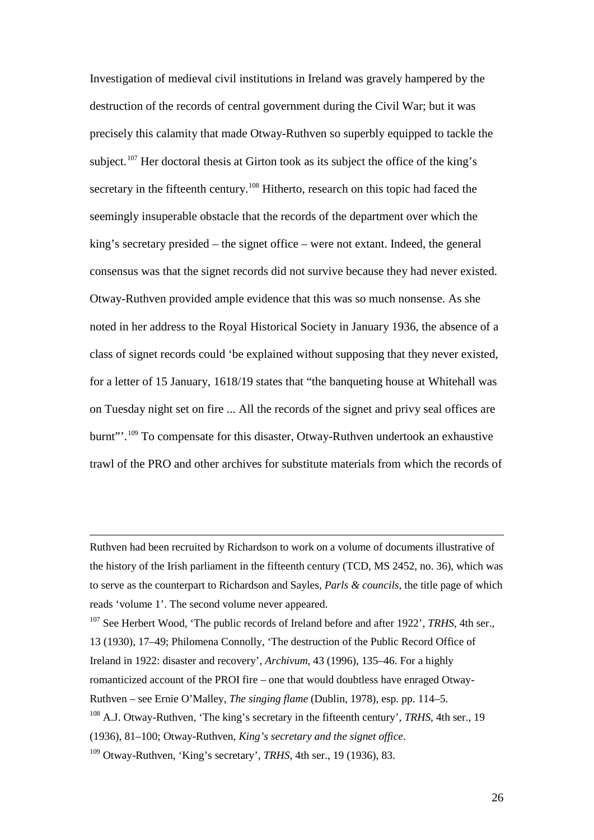Investigation of medieval civil institutions in Ireland was gravely hampered by the destruction of the records of central government during the Civil War; but it was precisely this calamity that made Otway-Ruthven so superbly equipped to tackle the subject.<sup>[107](#page-25-0)</sup> Her doctoral thesis at Girton took as its subject the office of the king's secretary in the fifteenth century.<sup>[108](#page-25-1)</sup> Hitherto, research on this topic had faced the seemingly insuperable obstacle that the records of the department over which the king's secretary presided – the signet office – were not extant. Indeed, the general consensus was that the signet records did not survive because they had never existed. Otway-Ruthven provided ample evidence that this was so much nonsense. As she noted in her address to the Royal Historical Society in January 1936, the absence of a class of signet records could 'be explained without supposing that they never existed, for a letter of 15 January, 1618/19 states that "the banqueting house at Whitehall was on Tuesday night set on fire ... All the records of the signet and privy seal offices are burnt"'.[109](#page-25-2) To compensate for this disaster, Otway-Ruthven undertook an exhaustive trawl of the PRO and other archives for substitute materials from which the records of

 $\overline{a}$ 

Ruthven had been recruited by Richardson to work on a volume of documents illustrative of the history of the Irish parliament in the fifteenth century (TCD, MS 2452, no. 36), which was to serve as the counterpart to Richardson and Sayles, *Parls & councils*, the title page of which reads 'volume 1'. The second volume never appeared.

<span id="page-25-0"></span><sup>107</sup> See Herbert Wood, 'The public records of Ireland before and after 1922', *TRHS*, 4th ser., 13 (1930), 17–49; Philomena Connolly, 'The destruction of the Public Record Office of Ireland in 1922: disaster and recovery', *Archivum*, 43 (1996), 135–46. For a highly romanticized account of the PROI fire – one that would doubtless have enraged Otway-Ruthven – see Ernie O'Malley, *The singing flame* (Dublin, 1978), esp. pp. 114–5. <sup>108</sup> A.J. Otway-Ruthven, 'The king's secretary in the fifteenth century', *TRHS*, 4th ser., 19 (1936), 81–100; Otway-Ruthven, *King's secretary and the signet office*.

<span id="page-25-2"></span><span id="page-25-1"></span><sup>109</sup> Otway-Ruthven, 'King's secretary', *TRHS*, 4th ser., 19 (1936), 83.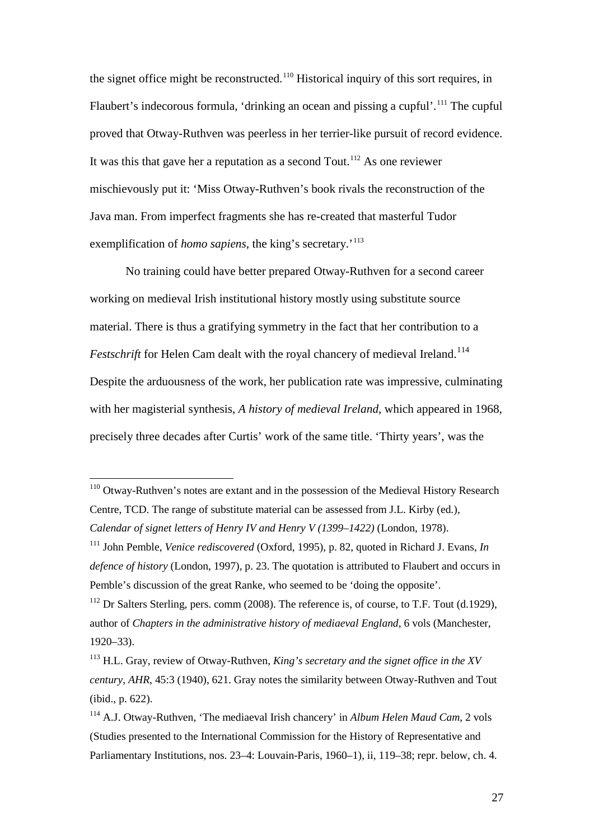the signet office might be reconstructed.<sup>[110](#page-26-0)</sup> Historical inquiry of this sort requires, in Flaubert's indecorous formula, 'drinking an ocean and pissing a cupful'.<sup>[111](#page-26-1)</sup> The cupful proved that Otway-Ruthven was peerless in her terrier-like pursuit of record evidence. It was this that gave her a reputation as a second Tout.<sup>[112](#page-26-2)</sup> As one reviewer mischievously put it: 'Miss Otway-Ruthven's book rivals the reconstruction of the Java man. From imperfect fragments she has re-created that masterful Tudor exemplification of *homo sapiens*, the king's secretary.'<sup>[113](#page-26-3)</sup>

No training could have better prepared Otway-Ruthven for a second career working on medieval Irish institutional history mostly using substitute source material. There is thus a gratifying symmetry in the fact that her contribution to a Festschrift for Helen Cam dealt with the royal chancery of medieval Ireland.<sup>[114](#page-26-4)</sup> Despite the arduousness of the work, her publication rate was impressive, culminating with her magisterial synthesis, *A history of medieval Ireland*, which appeared in 1968, precisely three decades after Curtis' work of the same title. 'Thirty years', was the

<span id="page-26-0"></span><sup>&</sup>lt;sup>110</sup> Otway-Ruthven's notes are extant and in the possession of the Medieval History Research Centre, TCD. The range of substitute material can be assessed from J.L. Kirby (ed.), *Calendar of signet letters of Henry IV and Henry V (1399–1422)* (London, 1978).

<span id="page-26-1"></span><sup>111</sup> John Pemble, *Venice rediscovered* (Oxford, 1995), p. 82, quoted in Richard J. Evans, *In defence of history* (London, 1997), p. 23. The quotation is attributed to Flaubert and occurs in Pemble's discussion of the great Ranke, who seemed to be 'doing the opposite'.

<span id="page-26-2"></span><sup>&</sup>lt;sup>112</sup> Dr Salters Sterling, pers. comm (2008). The reference is, of course, to T.F. Tout (d.1929), author of *Chapters in the administrative history of mediaeval England*, 6 vols (Manchester, 1920–33).

<span id="page-26-3"></span><sup>113</sup> H.L. Gray, review of Otway-Ruthven, *King's secretary and the signet office in the XV century*, *AHR*, 45:3 (1940), 621. Gray notes the similarity between Otway-Ruthven and Tout (ibid., p. 622).

<span id="page-26-4"></span><sup>114</sup> A.J. Otway-Ruthven, 'The mediaeval Irish chancery' in *Album Helen Maud Cam*, 2 vols (Studies presented to the International Commission for the History of Representative and Parliamentary Institutions, nos. 23–4: Louvain-Paris, 1960–1), ii, 119–38; repr. below, ch. 4.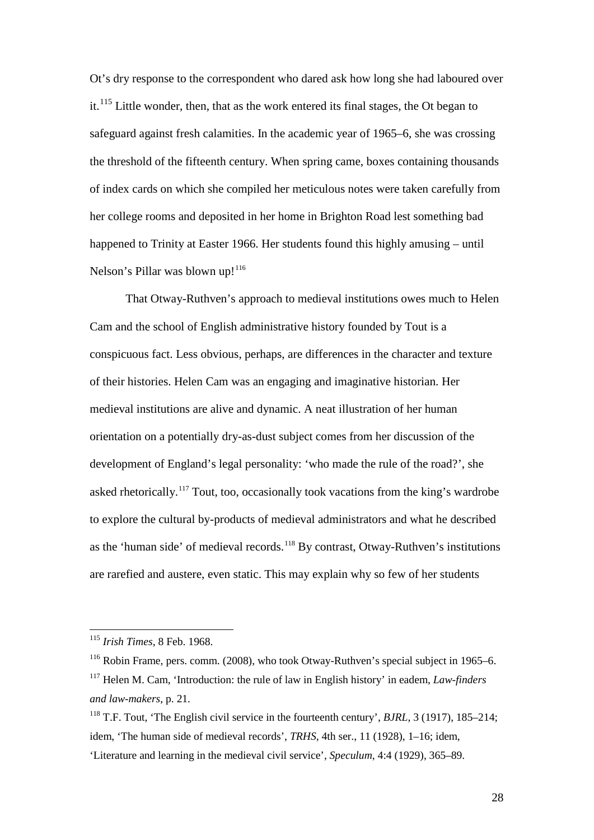Ot's dry response to the correspondent who dared ask how long she had laboured over it.<sup>[115](#page-27-0)</sup> Little wonder, then, that as the work entered its final stages, the Ot began to safeguard against fresh calamities. In the academic year of 1965–6, she was crossing the threshold of the fifteenth century. When spring came, boxes containing thousands of index cards on which she compiled her meticulous notes were taken carefully from her college rooms and deposited in her home in Brighton Road lest something bad happened to Trinity at Easter 1966. Her students found this highly amusing – until Nelson's Pillar was blown up!<sup>[116](#page-27-1)</sup>

That Otway-Ruthven's approach to medieval institutions owes much to Helen Cam and the school of English administrative history founded by Tout is a conspicuous fact. Less obvious, perhaps, are differences in the character and texture of their histories. Helen Cam was an engaging and imaginative historian. Her medieval institutions are alive and dynamic. A neat illustration of her human orientation on a potentially dry-as-dust subject comes from her discussion of the development of England's legal personality: 'who made the rule of the road?', she asked rhetorically.<sup>[117](#page-27-2)</sup> Tout, too, occasionally took vacations from the king's wardrobe to explore the cultural by-products of medieval administrators and what he described as the 'human side' of medieval records.<sup>[118](#page-27-3)</sup> By contrast, Otway-Ruthven's institutions are rarefied and austere, even static. This may explain why so few of her students

<span id="page-27-0"></span> <sup>115</sup> *Irish Times*, 8 Feb. 1968.

<span id="page-27-2"></span><span id="page-27-1"></span> $116$  Robin Frame, pers. comm. (2008), who took Otway-Ruthven's special subject in 1965–6. <sup>117</sup> Helen M. Cam, 'Introduction: the rule of law in English history' in eadem, *Law-finders and law-makers*, p. 21.

<span id="page-27-3"></span><sup>118</sup> T.F. Tout, 'The English civil service in the fourteenth century', *BJRL*, 3 (1917), 185–214; idem, 'The human side of medieval records', *TRHS*, 4th ser., 11 (1928), 1–16; idem, 'Literature and learning in the medieval civil service', *Speculum*, 4:4 (1929), 365–89.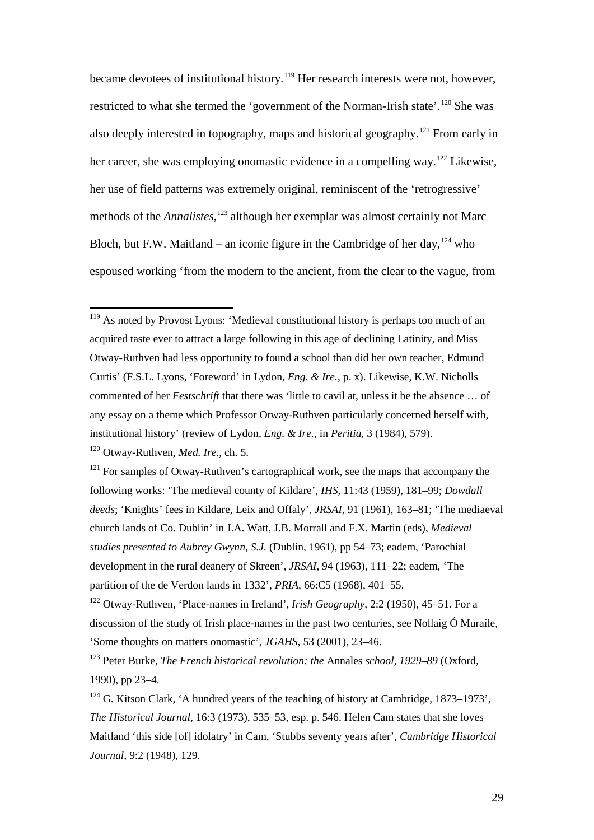became devotees of institutional history.<sup>[119](#page-28-0)</sup> Her research interests were not, however, restricted to what she termed the 'government of the Norman-Irish state'.<sup>[120](#page-28-1)</sup> She was also deeply interested in topography, maps and historical geography.[121](#page-28-2) From early in her career, she was employing onomastic evidence in a compelling way.<sup>[122](#page-28-3)</sup> Likewise, her use of field patterns was extremely original, reminiscent of the 'retrogressive' methods of the *Annalistes*, [123](#page-28-4) although her exemplar was almost certainly not Marc Bloch, but F.W. Maitland – an iconic figure in the Cambridge of her day,  $124$  who espoused working 'from the modern to the ancient, from the clear to the vague, from

<span id="page-28-0"></span><sup>&</sup>lt;sup>119</sup> As noted by Provost Lyons: 'Medieval constitutional history is perhaps too much of an acquired taste ever to attract a large following in this age of declining Latinity, and Miss Otway-Ruthven had less opportunity to found a school than did her own teacher, Edmund Curtis' (F.S.L. Lyons, 'Foreword' in Lydon, *Eng. & Ire.*, p. x). Likewise, K.W. Nicholls commented of her *Festschrift* that there was 'little to cavil at, unless it be the absence … of any essay on a theme which Professor Otway-Ruthven particularly concerned herself with, institutional history' (review of Lydon*, Eng. & Ire.*, in *Peritia*, 3 (1984), 579).

<span id="page-28-1"></span><sup>120</sup> Otway-Ruthven, *Med. Ire.*, ch. 5.

<span id="page-28-2"></span><sup>&</sup>lt;sup>121</sup> For samples of Otway-Ruthven's cartographical work, see the maps that accompany the following works: 'The medieval county of Kildare', *IHS*, 11:43 (1959), 181–99; *Dowdall deeds*; 'Knights' fees in Kildare, Leix and Offaly', *JRSAI*, 91 (1961), 163–81; 'The mediaeval church lands of Co. Dublin' in J.A. Watt, J.B. Morrall and F.X. Martin (eds), *Medieval studies presented to Aubrey Gwynn, S.J.* (Dublin, 1961), pp 54–73; eadem, 'Parochial development in the rural deanery of Skreen', *JRSAI*, 94 (1963), 111–22; eadem, 'The partition of the de Verdon lands in 1332', *PRIA*, 66:C5 (1968), 401–55.

<span id="page-28-3"></span><sup>122</sup> Otway-Ruthven, 'Place-names in Ireland', *Irish Geography*, 2:2 (1950), 45–51. For a discussion of the study of Irish place-names in the past two centuries, see Nollaig Ó Muraíle, 'Some thoughts on matters onomastic', *JGAHS*, 53 (2001), 23–46.

<span id="page-28-4"></span><sup>123</sup> Peter Burke, *The French historical revolution: the* Annales *school, 1929–89* (Oxford, 1990), pp 23–4.

<span id="page-28-5"></span> $124$  G. Kitson Clark, 'A hundred years of the teaching of history at Cambridge, 1873–1973', *The Historical Journal*, 16:3 (1973), 535–53, esp. p. 546. Helen Cam states that she loves Maitland 'this side [of] idolatry' in Cam, 'Stubbs seventy years after', *Cambridge Historical Journal*, 9:2 (1948), 129.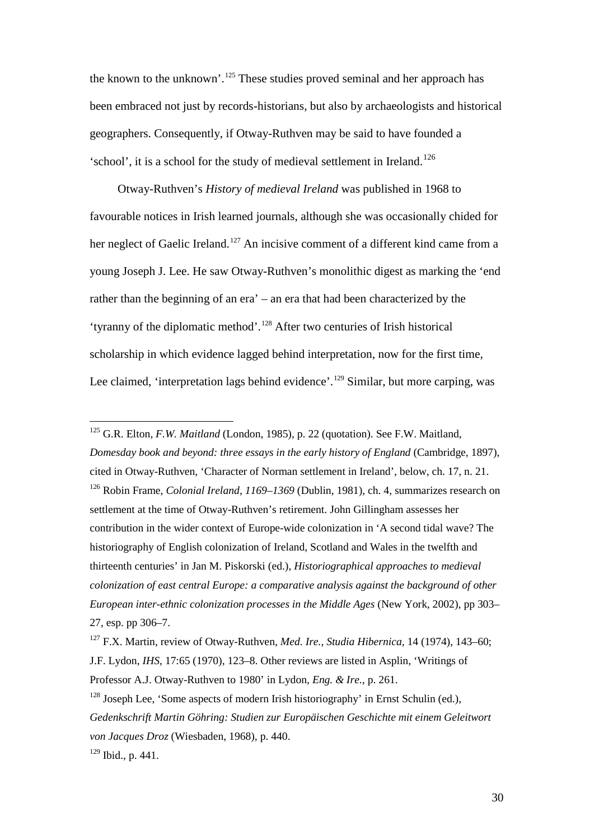the known to the unknown'.<sup>[125](#page-29-0)</sup> These studies proved seminal and her approach has been embraced not just by records-historians, but also by archaeologists and historical geographers. Consequently, if Otway-Ruthven may be said to have founded a 'school', it is a school for the study of medieval settlement in Ireland.<sup>[126](#page-29-1)</sup>

Otway-Ruthven's *History of medieval Ireland* was published in 1968 to favourable notices in Irish learned journals, although she was occasionally chided for her neglect of Gaelic Ireland.<sup>[127](#page-29-2)</sup> An incisive comment of a different kind came from a young Joseph J. Lee. He saw Otway-Ruthven's monolithic digest as marking the 'end rather than the beginning of an era' – an era that had been characterized by the 'tyranny of the diplomatic method'. [128](#page-29-3) After two centuries of Irish historical scholarship in which evidence lagged behind interpretation, now for the first time, Lee claimed, 'interpretation lags behind evidence'.<sup>[129](#page-29-4)</sup> Similar, but more carping, was

<span id="page-29-1"></span><span id="page-29-0"></span> 125 G.R. Elton, *F.W. Maitland* (London, 1985), p. 22 (quotation). See F.W. Maitland, *Domesday book and beyond: three essays in the early history of England* (Cambridge, 1897), cited in Otway-Ruthven, 'Character of Norman settlement in Ireland', below, ch. 17, n. 21. <sup>126</sup> Robin Frame, *Colonial Ireland, 1169–1369* (Dublin, 1981), ch. 4, summarizes research on settlement at the time of Otway-Ruthven's retirement. John Gillingham assesses her contribution in the wider context of Europe-wide colonization in 'A second tidal wave? The historiography of English colonization of Ireland, Scotland and Wales in the twelfth and thirteenth centuries' in Jan M. Piskorski (ed.), *Historiographical approaches to medieval colonization of east central Europe: a comparative analysis against the background of other European inter-ethnic colonization processes in the Middle Ages* (New York, 2002), pp 303– 27, esp. pp 306–7.

<span id="page-29-2"></span><sup>127</sup> F.X. Martin, review of Otway-Ruthven, *Med. Ire.*, *Studia Hibernica*, 14 (1974), 143–60; J.F. Lydon, *IHS*, 17:65 (1970), 123–8. Other reviews are listed in Asplin, 'Writings of Professor A.J. Otway-Ruthven to 1980' in Lydon, *Eng. & Ire.*, p. 261.

<span id="page-29-3"></span> $128$  Joseph Lee, 'Some aspects of modern Irish historiography' in Ernst Schulin (ed.), *Gedenkschrift Martin Göhring: Studien zur Europäischen Geschichte mit einem Geleitwort von Jacques Droz* (Wiesbaden, 1968), p. 440.

<span id="page-29-4"></span> $129$  Ibid., p. 441.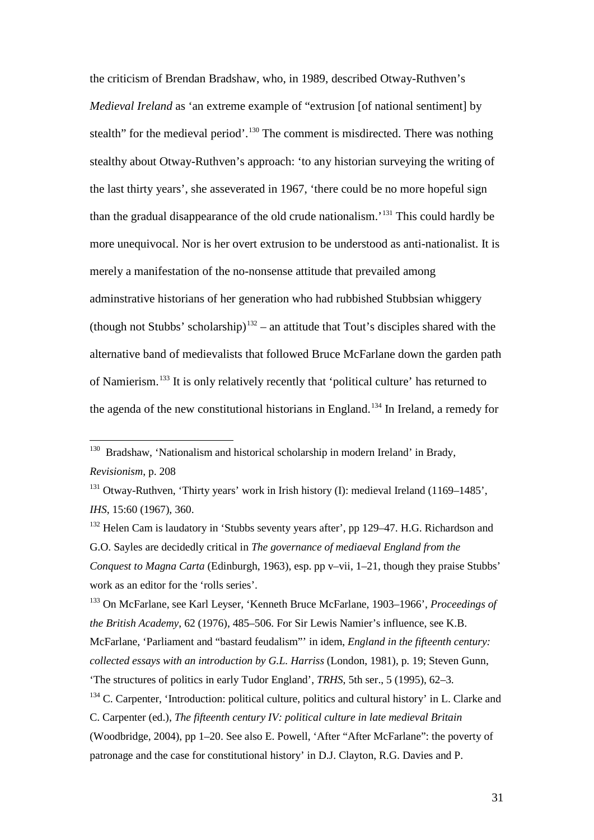the criticism of Brendan Bradshaw, who, in 1989, described Otway-Ruthven's *Medieval Ireland* as 'an extreme example of "extrusion [of national sentiment] by stealth" for the medieval period'.<sup>[130](#page-30-0)</sup> The comment is misdirected. There was nothing stealthy about Otway-Ruthven's approach: 'to any historian surveying the writing of the last thirty years', she asseverated in 1967, 'there could be no more hopeful sign than the gradual disappearance of the old crude nationalism.' [131](#page-30-1) This could hardly be more unequivocal. Nor is her overt extrusion to be understood as anti-nationalist. It is merely a manifestation of the no-nonsense attitude that prevailed among adminstrative historians of her generation who had rubbished Stubbsian whiggery (though not Stubbs' scholarship)<sup>[132](#page-30-2)</sup> – an attitude that Tout's disciples shared with the alternative band of medievalists that followed Bruce McFarlane down the garden path of Namierism.[133](#page-30-3) It is only relatively recently that 'political culture' has returned to the agenda of the new constitutional historians in England.<sup>[134](#page-30-4)</sup> In Ireland, a remedy for

<span id="page-30-3"></span><sup>133</sup> On McFarlane, see Karl Leyser, 'Kenneth Bruce McFarlane, 1903–1966', *Proceedings of the British Academy*, 62 (1976), 485–506. For Sir Lewis Namier's influence, see K.B. McFarlane, 'Parliament and "bastard feudalism"' in idem, *England in the fifteenth century: collected essays with an introduction by G.L. Harriss* (London, 1981), p. 19; Steven Gunn,

<span id="page-30-0"></span><sup>&</sup>lt;sup>130</sup> Bradshaw, 'Nationalism and historical scholarship in modern Ireland' in Brady, *Revisionism*, p. 208

<span id="page-30-1"></span><sup>&</sup>lt;sup>131</sup> Otway-Ruthven, 'Thirty years' work in Irish history (I): medieval Ireland (1169–1485', *IHS*, 15:60 (1967), 360.

<span id="page-30-2"></span><sup>&</sup>lt;sup>132</sup> Helen Cam is laudatory in 'Stubbs seventy years after', pp 129–47. H.G. Richardson and G.O. Sayles are decidedly critical in *The governance of mediaeval England from the Conquest to Magna Carta* (Edinburgh, 1963), esp. pp v–vii, 1–21, though they praise Stubbs' work as an editor for the 'rolls series'.

<sup>&#</sup>x27;The structures of politics in early Tudor England', *TRHS*, 5th ser., 5 (1995), 62–3.

<span id="page-30-4"></span> $134$  C. Carpenter, 'Introduction: political culture, politics and cultural history' in L. Clarke and C. Carpenter (ed.), *The fifteenth century IV: political culture in late medieval Britain*

<sup>(</sup>Woodbridge, 2004), pp 1–20. See also E. Powell, 'After "After McFarlane": the poverty of patronage and the case for constitutional history' in D.J. Clayton, R.G. Davies and P.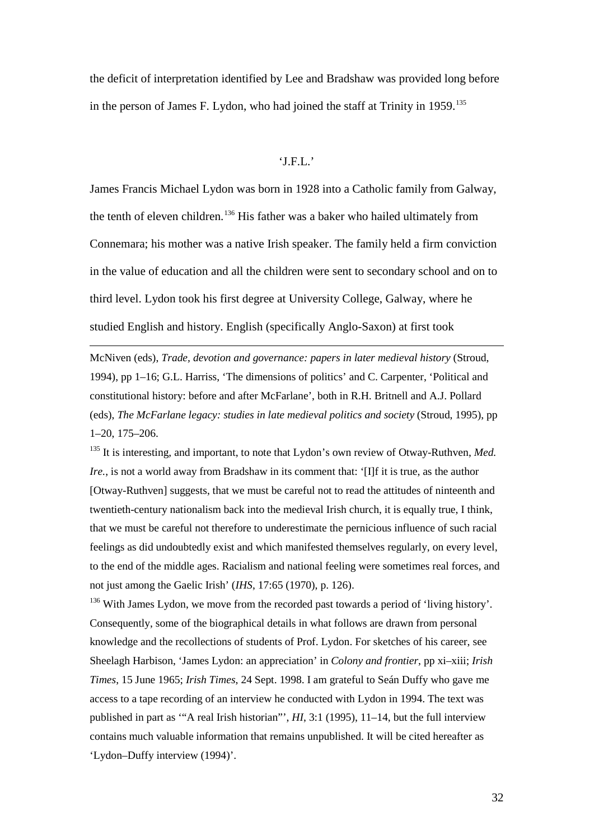the deficit of interpretation identified by Lee and Bradshaw was provided long before in the person of James F. Lydon, who had joined the staff at Trinity in  $1959$ <sup>[135](#page-31-0)</sup>

## 'J.F.L.'

James Francis Michael Lydon was born in 1928 into a Catholic family from Galway, the tenth of eleven children.<sup>[136](#page-31-1)</sup> His father was a baker who hailed ultimately from Connemara; his mother was a native Irish speaker. The family held a firm conviction in the value of education and all the children were sent to secondary school and on to third level. Lydon took his first degree at University College, Galway, where he studied English and history. English (specifically Anglo-Saxon) at first took

McNiven (eds), *Trade, devotion and governance: papers in later medieval history* (Stroud, 1994), pp 1–16; G.L. Harriss, 'The dimensions of politics' and C. Carpenter, 'Political and constitutional history: before and after McFarlane', both in R.H. Britnell and A.J. Pollard (eds), *The McFarlane legacy: studies in late medieval politics and society* (Stroud, 1995), pp 1–20, 175–206.

 $\overline{a}$ 

<span id="page-31-0"></span><sup>135</sup> It is interesting, and important, to note that Lydon's own review of Otway-Ruthven, *Med. Ire.*, is not a world away from Bradshaw in its comment that: '[I]f it is true, as the author [Otway-Ruthven] suggests, that we must be careful not to read the attitudes of ninteenth and twentieth-century nationalism back into the medieval Irish church, it is equally true, I think, that we must be careful not therefore to underestimate the pernicious influence of such racial feelings as did undoubtedly exist and which manifested themselves regularly, on every level, to the end of the middle ages. Racialism and national feeling were sometimes real forces, and not just among the Gaelic Irish' (*IHS*, 17:65 (1970), p. 126).

<span id="page-31-1"></span> $136$  With James Lydon, we move from the recorded past towards a period of 'living history'. Consequently, some of the biographical details in what follows are drawn from personal knowledge and the recollections of students of Prof. Lydon. For sketches of his career, see Sheelagh Harbison, 'James Lydon: an appreciation' in *Colony and frontier*, pp xi–xiii; *Irish Times*, 15 June 1965; *Irish Times*, 24 Sept. 1998. I am grateful to Seán Duffy who gave me access to a tape recording of an interview he conducted with Lydon in 1994. The text was published in part as '"A real Irish historian"', *HI*, 3:1 (1995), 11–14, but the full interview contains much valuable information that remains unpublished. It will be cited hereafter as 'Lydon–Duffy interview (1994)'.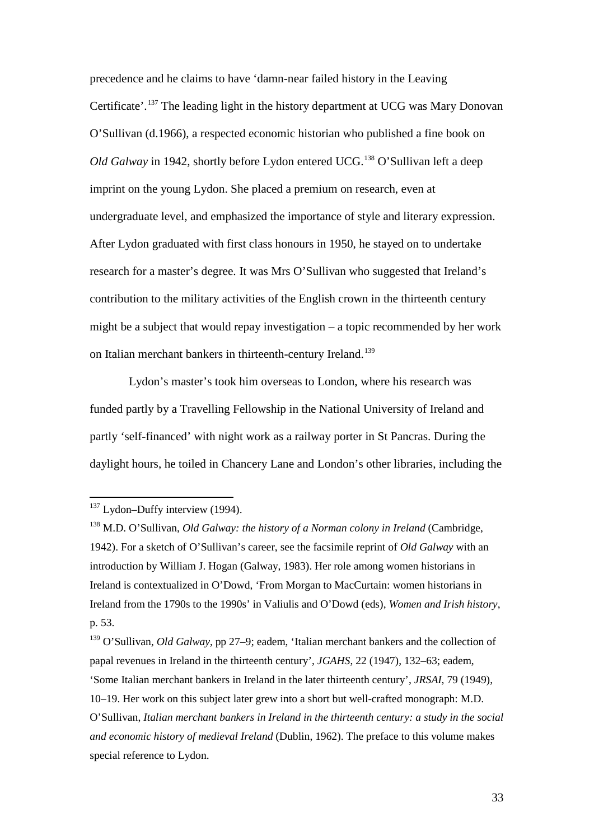precedence and he claims to have 'damn-near failed history in the Leaving Certificate'.<sup>[137](#page-32-0)</sup> The leading light in the history department at UCG was Mary Donovan O'Sullivan (d.1966), a respected economic historian who published a fine book on *Old Galway* in 1942, shortly before Lydon entered UCG.<sup>[138](#page-32-1)</sup> O'Sullivan left a deep imprint on the young Lydon. She placed a premium on research, even at undergraduate level, and emphasized the importance of style and literary expression. After Lydon graduated with first class honours in 1950, he stayed on to undertake research for a master's degree. It was Mrs O'Sullivan who suggested that Ireland's contribution to the military activities of the English crown in the thirteenth century might be a subject that would repay investigation – a topic recommended by her work on Italian merchant bankers in thirteenth-century Ireland.<sup>[139](#page-32-2)</sup>

Lydon's master's took him overseas to London, where his research was funded partly by a Travelling Fellowship in the National University of Ireland and partly 'self-financed' with night work as a railway porter in St Pancras. During the daylight hours, he toiled in Chancery Lane and London's other libraries, including the

<span id="page-32-2"></span><sup>139</sup> O'Sullivan, *Old Galway*, pp 27–9; eadem, 'Italian merchant bankers and the collection of papal revenues in Ireland in the thirteenth century', *JGAHS*, 22 (1947), 132–63; eadem, 'Some Italian merchant bankers in Ireland in the later thirteenth century', *JRSAI*, 79 (1949), 10–19. Her work on this subject later grew into a short but well-crafted monograph: M.D. O'Sullivan, *Italian merchant bankers in Ireland in the thirteenth century: a study in the social and economic history of medieval Ireland* (Dublin, 1962). The preface to this volume makes special reference to Lydon.

<span id="page-32-0"></span> $137$  Lydon–Duffy interview (1994).

<span id="page-32-1"></span><sup>138</sup> M.D. O'Sullivan, *Old Galway: the history of a Norman colony in Ireland* (Cambridge, 1942). For a sketch of O'Sullivan's career, see the facsimile reprint of *Old Galway* with an introduction by William J. Hogan (Galway, 1983). Her role among women historians in Ireland is contextualized in O'Dowd, 'From Morgan to MacCurtain: women historians in Ireland from the 1790s to the 1990s' in Valiulis and O'Dowd (eds), *Women and Irish history*, p. 53.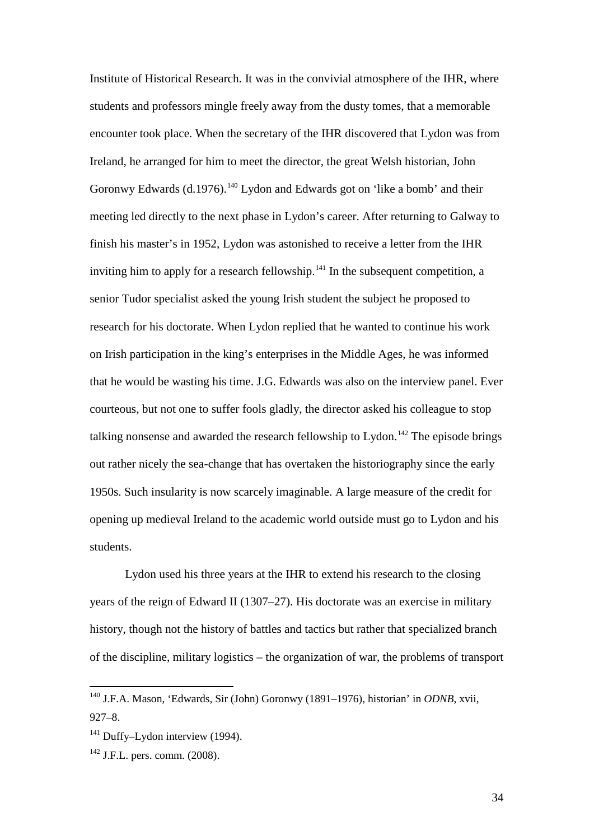Institute of Historical Research. It was in the convivial atmosphere of the IHR, where students and professors mingle freely away from the dusty tomes, that a memorable encounter took place. When the secretary of the IHR discovered that Lydon was from Ireland, he arranged for him to meet the director, the great Welsh historian, John Goronwy Edwards (d.1976).<sup>[140](#page-33-0)</sup> Lydon and Edwards got on 'like a bomb' and their meeting led directly to the next phase in Lydon's career. After returning to Galway to finish his master's in 1952, Lydon was astonished to receive a letter from the IHR inviting him to apply for a research fellowship.<sup>[141](#page-33-1)</sup> In the subsequent competition, a senior Tudor specialist asked the young Irish student the subject he proposed to research for his doctorate. When Lydon replied that he wanted to continue his work on Irish participation in the king's enterprises in the Middle Ages, he was informed that he would be wasting his time. J.G. Edwards was also on the interview panel. Ever courteous, but not one to suffer fools gladly, the director asked his colleague to stop talking nonsense and awarded the research fellowship to Lydon.<sup>[142](#page-33-2)</sup> The episode brings out rather nicely the sea-change that has overtaken the historiography since the early 1950s. Such insularity is now scarcely imaginable. A large measure of the credit for opening up medieval Ireland to the academic world outside must go to Lydon and his students.

Lydon used his three years at the IHR to extend his research to the closing years of the reign of Edward II (1307–27). His doctorate was an exercise in military history, though not the history of battles and tactics but rather that specialized branch of the discipline, military logistics – the organization of war, the problems of transport

34

<span id="page-33-0"></span> <sup>140</sup> J.F.A. Mason, 'Edwards, Sir (John) Goronwy (1891–1976), historian' in *ODNB*, xvii, 927–8.

<span id="page-33-1"></span><sup>&</sup>lt;sup>141</sup> Duffy–Lydon interview (1994).

<span id="page-33-2"></span> $142$  J.F.L. pers. comm. (2008).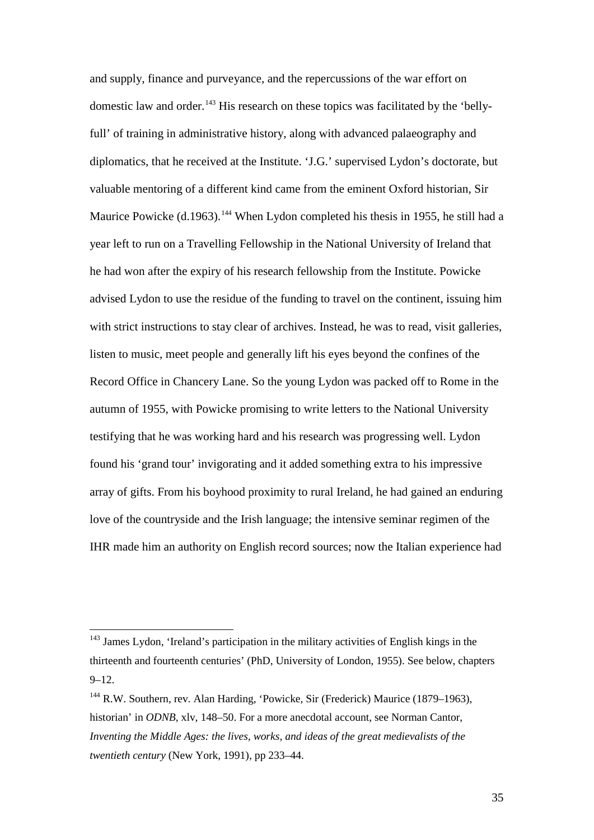and supply, finance and purveyance, and the repercussions of the war effort on domestic law and order.<sup>[143](#page-34-0)</sup> His research on these topics was facilitated by the 'bellyfull' of training in administrative history, along with advanced palaeography and diplomatics, that he received at the Institute. 'J.G.' supervised Lydon's doctorate, but valuable mentoring of a different kind came from the eminent Oxford historian, Sir Maurice Powicke (d.1963).<sup>[144](#page-34-1)</sup> When Lydon completed his thesis in 1955, he still had a year left to run on a Travelling Fellowship in the National University of Ireland that he had won after the expiry of his research fellowship from the Institute. Powicke advised Lydon to use the residue of the funding to travel on the continent, issuing him with strict instructions to stay clear of archives. Instead, he was to read, visit galleries, listen to music, meet people and generally lift his eyes beyond the confines of the Record Office in Chancery Lane. So the young Lydon was packed off to Rome in the autumn of 1955, with Powicke promising to write letters to the National University testifying that he was working hard and his research was progressing well. Lydon found his 'grand tour' invigorating and it added something extra to his impressive array of gifts. From his boyhood proximity to rural Ireland, he had gained an enduring love of the countryside and the Irish language; the intensive seminar regimen of the IHR made him an authority on English record sources; now the Italian experience had

<span id="page-34-0"></span><sup>&</sup>lt;sup>143</sup> James Lydon, 'Ireland's participation in the military activities of English kings in the thirteenth and fourteenth centuries' (PhD, University of London, 1955). See below, chapters  $9 - 12.$ 

<span id="page-34-1"></span><sup>&</sup>lt;sup>144</sup> R.W. Southern, rev. Alan Harding, 'Powicke, Sir (Frederick) Maurice (1879–1963), historian' in *ODNB*, xlv, 148–50. For a more anecdotal account, see Norman Cantor, *Inventing the Middle Ages: the lives, works, and ideas of the great medievalists of the twentieth century* (New York, 1991), pp 233–44.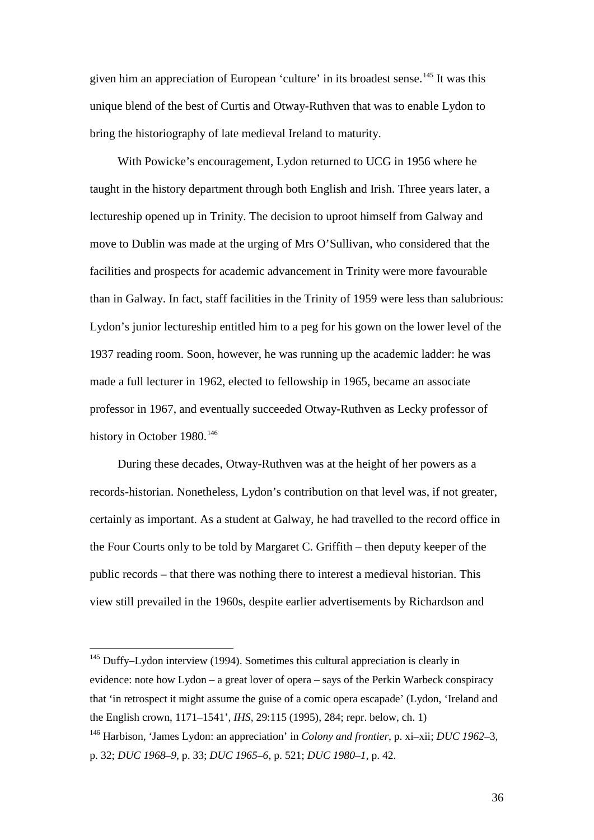given him an appreciation of European 'culture' in its broadest sense.<sup>[145](#page-35-0)</sup> It was this unique blend of the best of Curtis and Otway-Ruthven that was to enable Lydon to bring the historiography of late medieval Ireland to maturity.

With Powicke's encouragement, Lydon returned to UCG in 1956 where he taught in the history department through both English and Irish. Three years later, a lectureship opened up in Trinity. The decision to uproot himself from Galway and move to Dublin was made at the urging of Mrs O'Sullivan, who considered that the facilities and prospects for academic advancement in Trinity were more favourable than in Galway. In fact, staff facilities in the Trinity of 1959 were less than salubrious: Lydon's junior lectureship entitled him to a peg for his gown on the lower level of the 1937 reading room. Soon, however, he was running up the academic ladder: he was made a full lecturer in 1962, elected to fellowship in 1965, became an associate professor in 1967, and eventually succeeded Otway-Ruthven as Lecky professor of history in October 1980.<sup>[146](#page-35-1)</sup>

During these decades, Otway-Ruthven was at the height of her powers as a records-historian. Nonetheless, Lydon's contribution on that level was, if not greater, certainly as important. As a student at Galway, he had travelled to the record office in the Four Courts only to be told by Margaret C. Griffith – then deputy keeper of the public records – that there was nothing there to interest a medieval historian. This view still prevailed in the 1960s, despite earlier advertisements by Richardson and

<span id="page-35-0"></span> $145$  Duffy–Lydon interview (1994). Sometimes this cultural appreciation is clearly in evidence: note how Lydon – a great lover of opera – says of the Perkin Warbeck conspiracy that 'in retrospect it might assume the guise of a comic opera escapade' (Lydon, 'Ireland and the English crown, 1171–1541', *IHS*, 29:115 (1995), 284; repr. below, ch. 1)

<span id="page-35-1"></span><sup>146</sup> Harbison, 'James Lydon: an appreciation' in *Colony and frontier*, p. xi–xii; *DUC 1962–*3, p. 32; *DUC 1968–9*, p. 33; *DUC 1965–6*, p. 521; *DUC 1980–1*, p. 42.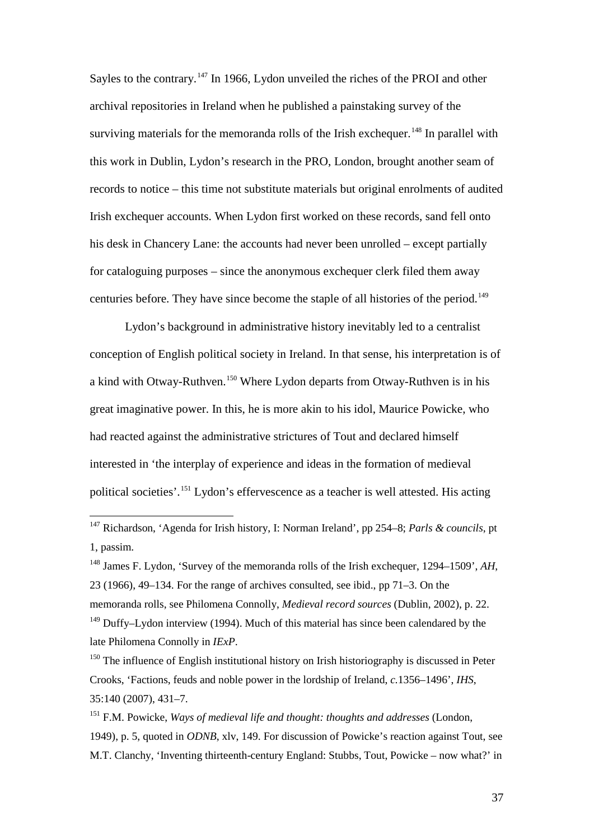Sayles to the contrary.<sup>[147](#page-36-0)</sup> In 1966, Lydon unveiled the riches of the PROI and other archival repositories in Ireland when he published a painstaking survey of the surviving materials for the memoranda rolls of the Irish exchequer.<sup>[148](#page-36-1)</sup> In parallel with this work in Dublin, Lydon's research in the PRO, London, brought another seam of records to notice – this time not substitute materials but original enrolments of audited Irish exchequer accounts. When Lydon first worked on these records, sand fell onto his desk in Chancery Lane: the accounts had never been unrolled – except partially for cataloguing purposes – since the anonymous exchequer clerk filed them away centuries before. They have since become the staple of all histories of the period.<sup>[149](#page-36-2)</sup>

Lydon's background in administrative history inevitably led to a centralist conception of English political society in Ireland. In that sense, his interpretation is of a kind with Otway-Ruthven.[150](#page-36-3) Where Lydon departs from Otway-Ruthven is in his great imaginative power. In this, he is more akin to his idol, Maurice Powicke, who had reacted against the administrative strictures of Tout and declared himself interested in 'the interplay of experience and ideas in the formation of medieval political societies'.[151](#page-36-4) Lydon's effervescence as a teacher is well attested. His acting

<span id="page-36-0"></span> <sup>147</sup> Richardson, 'Agenda for Irish history, I: Norman Ireland', pp 254–8; *Parls & councils*, pt 1, passim.

<span id="page-36-1"></span><sup>148</sup> James F. Lydon, 'Survey of the memoranda rolls of the Irish exchequer, 1294–1509', *AH*, 23 (1966), 49–134. For the range of archives consulted, see ibid., pp 71–3. On the memoranda rolls, see Philomena Connolly, *Medieval record sources* (Dublin, 2002), p. 22.  $149$  Duffy–Lydon interview (1994). Much of this material has since been calendared by the late Philomena Connolly in *IExP*.

<span id="page-36-3"></span><span id="page-36-2"></span> $150$  The influence of English institutional history on Irish historiography is discussed in Peter Crooks, 'Factions, feuds and noble power in the lordship of Ireland, *c.*1356–1496', *IHS*, 35:140 (2007), 431–7.

<span id="page-36-4"></span><sup>151</sup> F.M. Powicke, *Ways of medieval life and thought: thoughts and addresses* (London, 1949), p. 5, quoted in *ODNB*, xlv, 149. For discussion of Powicke's reaction against Tout, see M.T. Clanchy, 'Inventing thirteenth-century England: Stubbs, Tout, Powicke – now what?' in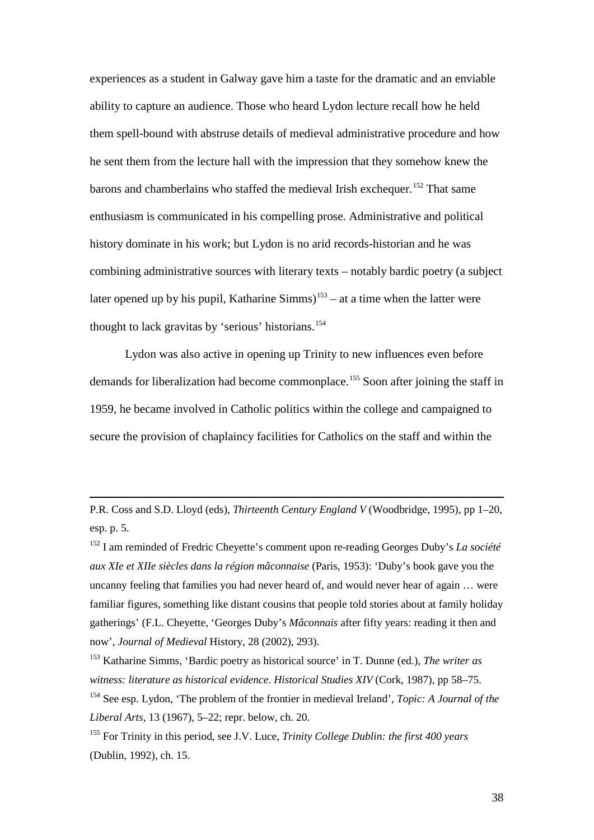experiences as a student in Galway gave him a taste for the dramatic and an enviable ability to capture an audience. Those who heard Lydon lecture recall how he held them spell-bound with abstruse details of medieval administrative procedure and how he sent them from the lecture hall with the impression that they somehow knew the barons and chamberlains who staffed the medieval Irish exchequer.<sup>[152](#page-37-0)</sup> That same enthusiasm is communicated in his compelling prose. Administrative and political history dominate in his work; but Lydon is no arid records-historian and he was combining administrative sources with literary texts – notably bardic poetry (a subject later opened up by his pupil, Katharine Simms)<sup>[153](#page-37-1)</sup> – at a time when the latter were thought to lack gravitas by 'serious' historians. [154](#page-37-2)

Lydon was also active in opening up Trinity to new influences even before demands for liberalization had become commonplace. [155](#page-37-3) Soon after joining the staff in 1959, he became involved in Catholic politics within the college and campaigned to secure the provision of chaplaincy facilities for Catholics on the staff and within the

 $\overline{a}$ 

P.R. Coss and S.D. Lloyd (eds), *Thirteenth Century England V* (Woodbridge, 1995), pp 1–20, esp. p. 5.

<span id="page-37-0"></span><sup>152</sup> I am reminded of Fredric Cheyette's comment upon re-reading Georges Duby's *La société aux XIe et XIIe siècles dans la région mâconnaise* (Paris, 1953): 'Duby's book gave you the uncanny feeling that families you had never heard of, and would never hear of again … were familiar figures, something like distant cousins that people told stories about at family holiday gatherings' (F.L. Cheyette, 'Georges Duby's *Mâconnais* after fifty years: reading it then and now', *Journal of Medieval* History, 28 (2002), 293).

<span id="page-37-1"></span><sup>153</sup> Katharine Simms, 'Bardic poetry as historical source' in T. Dunne (ed.), *The writer as witness: literature as historical evidence. Historical Studies XIV* (Cork, 1987), pp 58–75. <sup>154</sup> See esp. Lydon, 'The problem of the frontier in medieval Ireland', *Topic: A Journal of the Liberal Arts*, 13 (1967), 5–22; repr. below, ch. 20.

<span id="page-37-3"></span><span id="page-37-2"></span><sup>155</sup> For Trinity in this period, see J.V. Luce, *Trinity College Dublin: the first 400 years* (Dublin, 1992), ch. 15.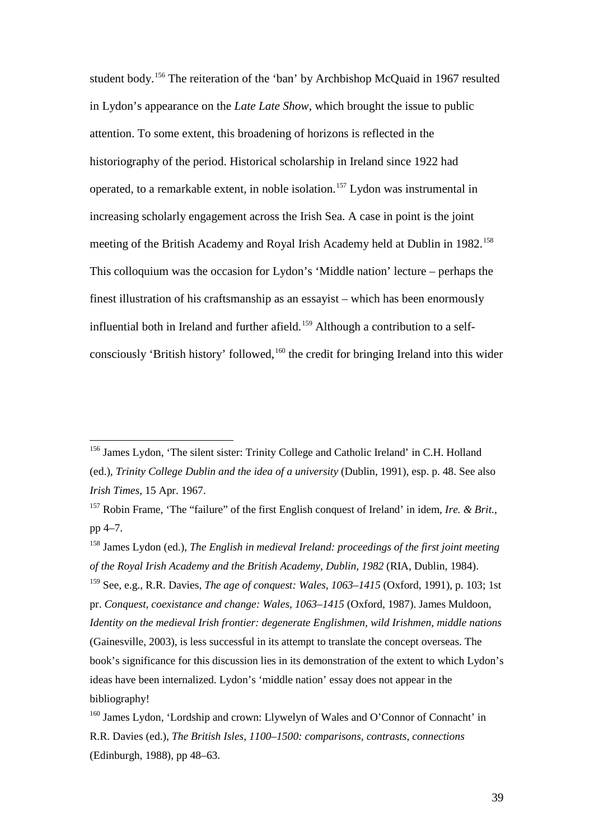student body.[156](#page-38-0) The reiteration of the 'ban' by Archbishop McQuaid in 1967 resulted in Lydon's appearance on the *Late Late Show*, which brought the issue to public attention. To some extent, this broadening of horizons is reflected in the historiography of the period. Historical scholarship in Ireland since 1922 had operated, to a remarkable extent, in noble isolation. [157](#page-38-1) Lydon was instrumental in increasing scholarly engagement across the Irish Sea. A case in point is the joint meeting of the British Academy and Royal Irish Academy held at Dublin in 1982.<sup>[158](#page-38-2)</sup> This colloquium was the occasion for Lydon's 'Middle nation' lecture – perhaps the finest illustration of his craftsmanship as an essayist – which has been enormously influential both in Ireland and further afield.<sup>[159](#page-38-3)</sup> Although a contribution to a self-consciously 'British history' followed, <sup>[160](#page-38-4)</sup> the credit for bringing Ireland into this wider

<span id="page-38-0"></span> <sup>156</sup> James Lydon, 'The silent sister: Trinity College and Catholic Ireland' in C.H. Holland (ed.), *Trinity College Dublin and the idea of a university* (Dublin, 1991), esp. p. 48. See also *Irish Times*, 15 Apr. 1967.

<span id="page-38-1"></span><sup>157</sup> Robin Frame, 'The "failure" of the first English conquest of Ireland' in idem, *Ire. & Brit.*, pp 4–7.

<span id="page-38-3"></span><span id="page-38-2"></span><sup>158</sup> James Lydon (ed.), *The English in medieval Ireland: proceedings of the first joint meeting of the Royal Irish Academy and the British Academy, Dublin, 1982* (RIA, Dublin, 1984). <sup>159</sup> See, e.g., R.R. Davies, *The age of conquest: Wales, 1063–1415* (Oxford, 1991), p. 103; 1st pr. *Conquest, coexistance and change: Wales, 1063–1415* (Oxford, 1987). James Muldoon, *Identity on the medieval Irish frontier: degenerate Englishmen, wild Irishmen, middle nations* (Gainesville, 2003), is less successful in its attempt to translate the concept overseas. The

book's significance for this discussion lies in its demonstration of the extent to which Lydon's ideas have been internalized. Lydon's 'middle nation' essay does not appear in the bibliography!

<span id="page-38-4"></span><sup>&</sup>lt;sup>160</sup> James Lydon, 'Lordship and crown: Llywelyn of Wales and O'Connor of Connacht' in R.R. Davies (ed.), *The British Isles, 1100–1500: comparisons, contrasts, connections* (Edinburgh, 1988), pp 48–63.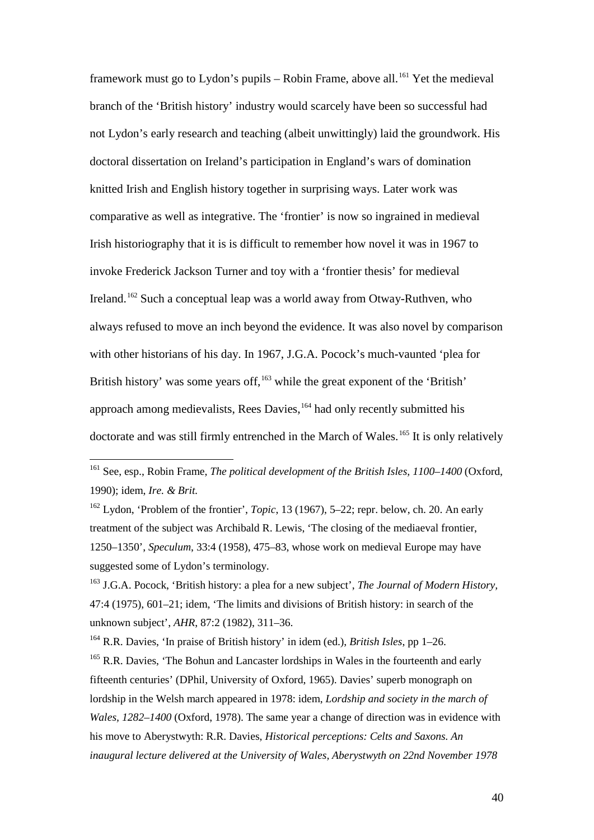framework must go to Lydon's pupils – Robin Frame, above all.<sup>[161](#page-39-0)</sup> Yet the medieval branch of the 'British history' industry would scarcely have been so successful had not Lydon's early research and teaching (albeit unwittingly) laid the groundwork. His doctoral dissertation on Ireland's participation in England's wars of domination knitted Irish and English history together in surprising ways. Later work was comparative as well as integrative. The 'frontier' is now so ingrained in medieval Irish historiography that it is is difficult to remember how novel it was in 1967 to invoke Frederick Jackson Turner and toy with a 'frontier thesis' for medieval Ireland.<sup>[162](#page-39-1)</sup> Such a conceptual leap was a world away from Otway-Ruthven, who always refused to move an inch beyond the evidence. It was also novel by comparison with other historians of his day. In 1967, J.G.A. Pocock's much-vaunted 'plea for British history' was some years off, $163$  while the great exponent of the 'British' approach among medievalists, Rees Davies,<sup>[164](#page-39-3)</sup> had only recently submitted his doctorate and was still firmly entrenched in the March of Wales.<sup>[165](#page-39-4)</sup> It is only relatively

<span id="page-39-1"></span><sup>162</sup> Lydon, 'Problem of the frontier', *Topic*, 13 (1967), 5–22; repr. below, ch. 20. An early treatment of the subject was Archibald R. Lewis, 'The closing of the mediaeval frontier, 1250–1350', *Speculum*, 33:4 (1958), 475–83, whose work on medieval Europe may have suggested some of Lydon's terminology.

<span id="page-39-0"></span> <sup>161</sup> See, esp., Robin Frame, *The political development of the British Isles, 1100–1400* (Oxford, 1990); idem, *Ire. & Brit.*

<span id="page-39-2"></span><sup>163</sup> J.G.A. Pocock, 'British history: a plea for a new subject', *The Journal of Modern History,* 47:4 (1975), 601–21; idem, 'The limits and divisions of British history: in search of the unknown subject', *AHR*, 87:2 (1982), 311–36.

<span id="page-39-3"></span><sup>164</sup> R.R. Davies, 'In praise of British history' in idem (ed.), *British Isles*, pp 1–26.

<span id="page-39-4"></span> $165$  R.R. Davies, 'The Bohun and Lancaster lordships in Wales in the fourteenth and early fifteenth centuries' (DPhil, University of Oxford, 1965). Davies' superb monograph on lordship in the Welsh march appeared in 1978: idem, *Lordship and society in the march of Wales, 1282–1400* (Oxford, 1978). The same year a change of direction was in evidence with his move to Aberystwyth: R.R. Davies, *Historical perceptions: Celts and Saxons. An inaugural lecture delivered at the University of Wales, Aberystwyth on 22nd November 1978*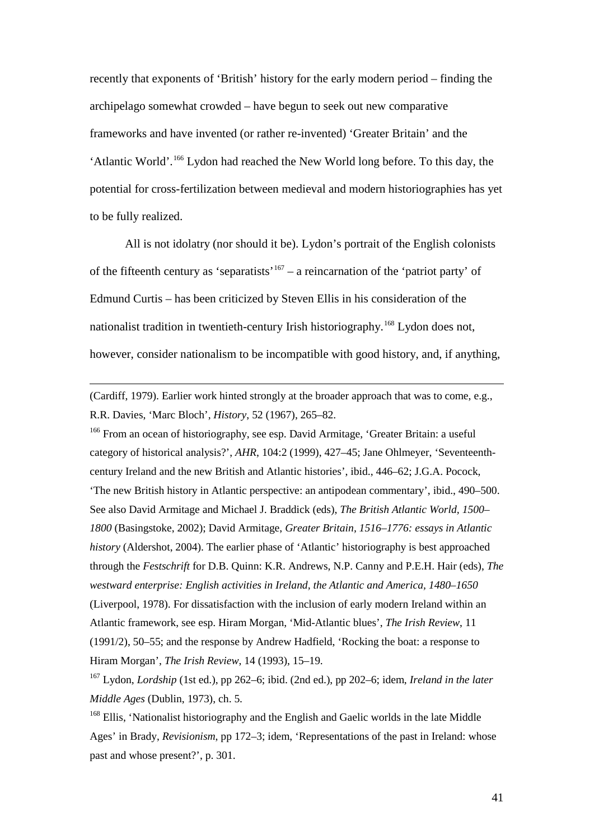recently that exponents of 'British' history for the early modern period – finding the archipelago somewhat crowded – have begun to seek out new comparative frameworks and have invented (or rather re-invented) 'Greater Britain' and the 'Atlantic World'. [166](#page-40-0) Lydon had reached the New World long before. To this day, the potential for cross-fertilization between medieval and modern historiographies has yet to be fully realized.

All is not idolatry (nor should it be). Lydon's portrait of the English colonists of the fifteenth century as 'separatists'<sup>[167](#page-40-1)</sup> – a reincarnation of the 'patriot party' of Edmund Curtis – has been criticized by Steven Ellis in his consideration of the nationalist tradition in twentieth-century Irish historiography.[168](#page-40-2) Lydon does not, however, consider nationalism to be incompatible with good history, and, if anything,

(Cardiff, 1979). Earlier work hinted strongly at the broader approach that was to come, e.g., R.R. Davies, 'Marc Bloch', *History*, 52 (1967), 265–82.

 $\overline{a}$ 

<span id="page-40-0"></span><sup>166</sup> From an ocean of historiography, see esp. David Armitage, 'Greater Britain: a useful category of historical analysis?', *AHR*, 104:2 (1999), 427–45; Jane Ohlmeyer, 'Seventeenthcentury Ireland and the new British and Atlantic histories', ibid., 446–62; J.G.A. Pocock, 'The new British history in Atlantic perspective: an antipodean commentary', ibid., 490–500. See also David Armitage and Michael J. Braddick (eds), *The British Atlantic World, 1500– 1800* (Basingstoke, 2002); David Armitage, *Greater Britain, 1516–1776: essays in Atlantic history* (Aldershot, 2004). The earlier phase of 'Atlantic' historiography is best approached through the *Festschrift* for D.B. Quinn: K.R. Andrews, N.P. Canny and P.E.H. Hair (eds), *The westward enterprise: English activities in Ireland, the Atlantic and America, 1480–1650* (Liverpool, 1978). For dissatisfaction with the inclusion of early modern Ireland within an Atlantic framework, see esp. Hiram Morgan, 'Mid-Atlantic blues', *The Irish Review*, 11 (1991/2), 50–55; and the response by Andrew Hadfield, 'Rocking the boat: a response to Hiram Morgan', *The Irish Review*, 14 (1993), 15–19.

<span id="page-40-1"></span><sup>167</sup> Lydon, *Lordship* (1st ed.), pp 262–6; ibid. (2nd ed.), pp 202–6; idem, *Ireland in the later Middle Ages* (Dublin, 1973), ch. 5.

<span id="page-40-2"></span><sup>168</sup> Ellis, 'Nationalist historiography and the English and Gaelic worlds in the late Middle Ages' in Brady, *Revisionism*, pp 172–3; idem, 'Representations of the past in Ireland: whose past and whose present?', p. 301.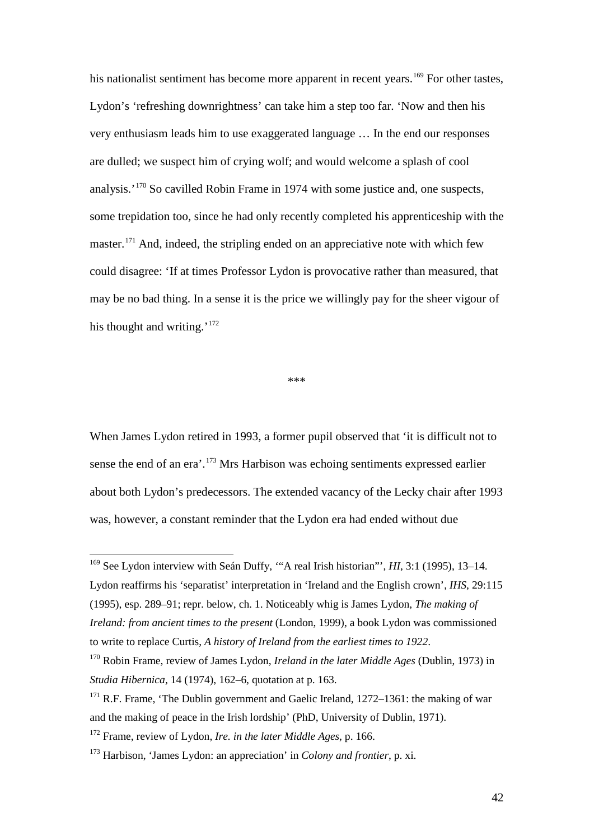his nationalist sentiment has become more apparent in recent years.<sup>[169](#page-41-0)</sup> For other tastes, Lydon's 'refreshing downrightness' can take him a step too far. 'Now and then his very enthusiasm leads him to use exaggerated language … In the end our responses are dulled; we suspect him of crying wolf; and would welcome a splash of cool analysis.'<sup>[170](#page-41-1)</sup> So cavilled Robin Frame in 1974 with some justice and, one suspects, some trepidation too, since he had only recently completed his apprenticeship with the master.<sup>[171](#page-41-2)</sup> And, indeed, the stripling ended on an appreciative note with which few could disagree: 'If at times Professor Lydon is provocative rather than measured, that may be no bad thing. In a sense it is the price we willingly pay for the sheer vigour of his thought and writing.'<sup>[172](#page-41-3)</sup>

\*\*\*

When James Lydon retired in 1993, a former pupil observed that 'it is difficult not to sense the end of an era'.<sup>[173](#page-41-4)</sup> Mrs Harbison was echoing sentiments expressed earlier about both Lydon's predecessors. The extended vacancy of the Lecky chair after 1993 was, however, a constant reminder that the Lydon era had ended without due

<span id="page-41-0"></span> <sup>169</sup> See Lydon interview with Seán Duffy, '"A real Irish historian"', *HI*, 3:1 (1995), 13–14. Lydon reaffirms his 'separatist' interpretation in 'Ireland and the English crown', *IHS*, 29:115 (1995), esp. 289–91; repr. below, ch. 1. Noticeably whig is James Lydon, *The making of Ireland: from ancient times to the present* (London, 1999), a book Lydon was commissioned to write to replace Curtis, *A history of Ireland from the earliest times to 1922*.

<span id="page-41-1"></span><sup>170</sup> Robin Frame, review of James Lydon, *Ireland in the later Middle Ages* (Dublin, 1973) in *Studia Hibernica*, 14 (1974), 162–6, quotation at p. 163.

<span id="page-41-2"></span><sup>&</sup>lt;sup>171</sup> R.F. Frame, 'The Dublin government and Gaelic Ireland,  $1272-1361$ : the making of war and the making of peace in the Irish lordship' (PhD, University of Dublin, 1971).

<span id="page-41-3"></span><sup>172</sup> Frame, review of Lydon, *Ire. in the later Middle Ages*, p. 166.

<span id="page-41-4"></span><sup>173</sup> Harbison, 'James Lydon: an appreciation' in *Colony and frontier*, p. xi.